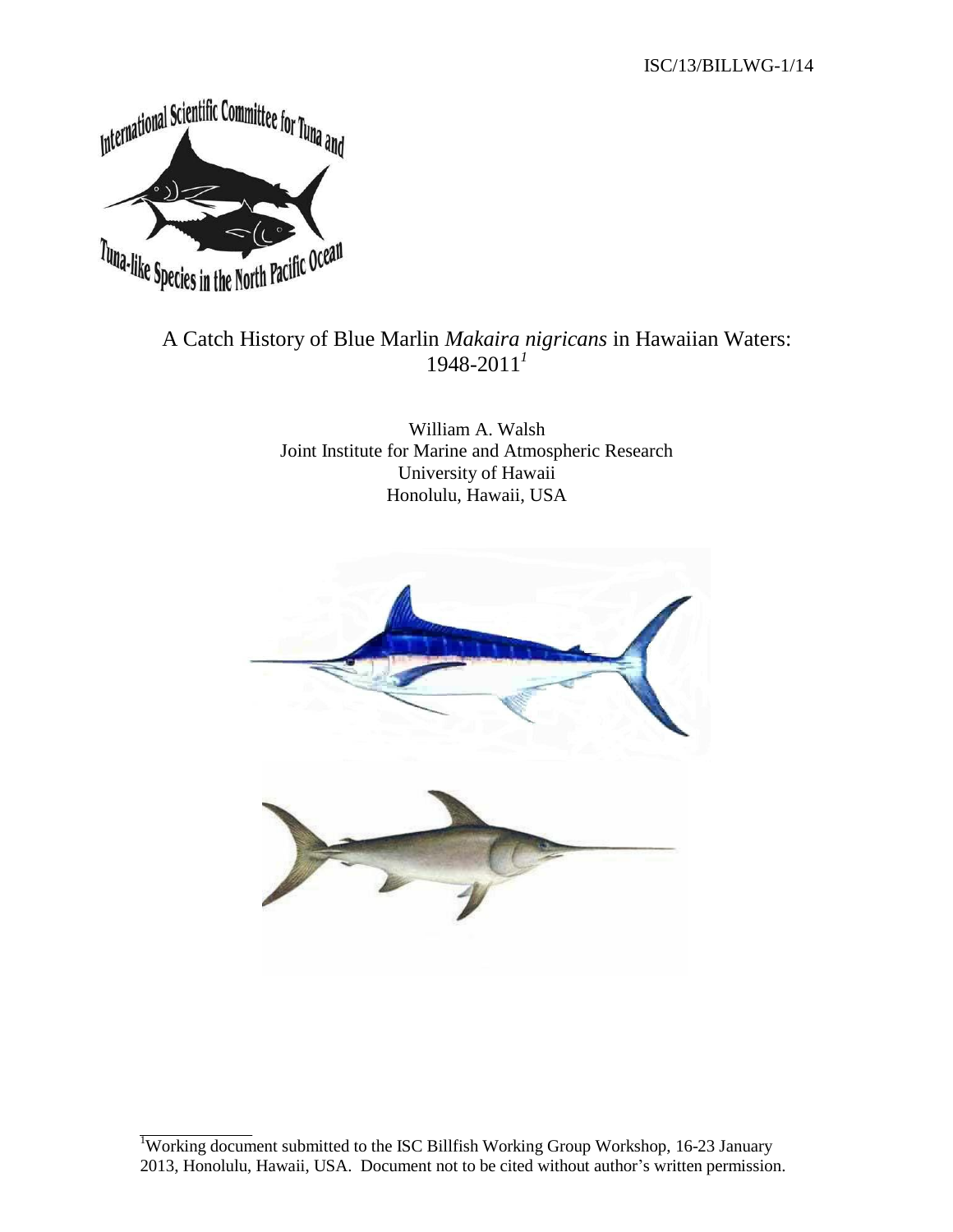

# A Catch History of Blue Marlin *Makaira nigricans* in Hawaiian Waters: 1948-2011 *1*

William A. Walsh Joint Institute for Marine and Atmospheric Research University of Hawaii Honolulu, Hawaii, USA



<sup>&</sup>lt;sup>1</sup>Working document submitted to the ISC Billfish Working Group Workshop, 16-23 January 2013, Honolulu, Hawaii, USA. Document not to be cited without author's written permission.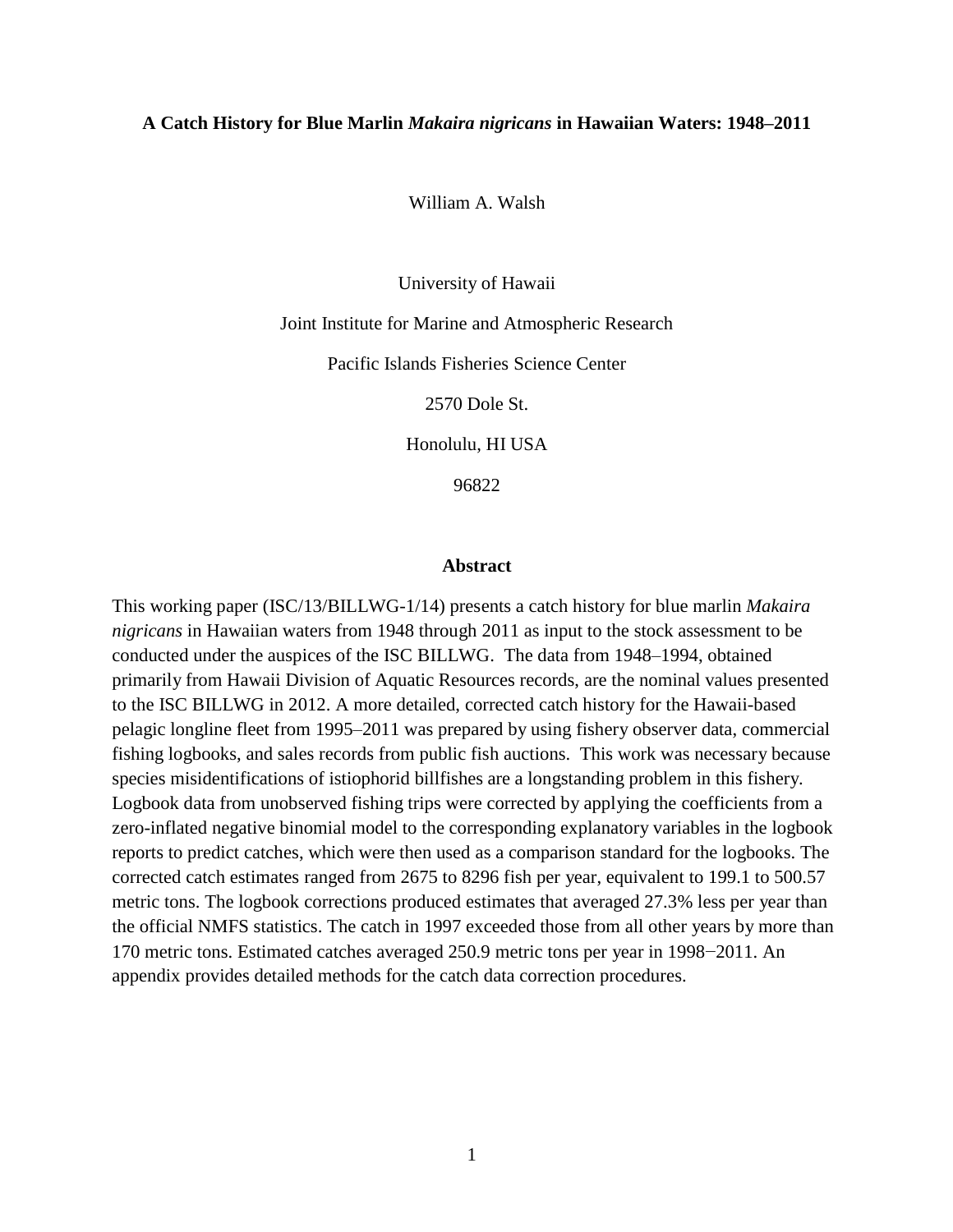#### **A Catch History for Blue Marlin** *Makaira nigricans* **in Hawaiian Waters: 1948–2011**

William A. Walsh

University of Hawaii

Joint Institute for Marine and Atmospheric Research

Pacific Islands Fisheries Science Center

2570 Dole St.

Honolulu, HI USA

96822

#### **Abstract**

This working paper (ISC/13/BILLWG-1/14) presents a catch history for blue marlin *Makaira nigricans* in Hawaiian waters from 1948 through 2011 as input to the stock assessment to be conducted under the auspices of the ISC BILLWG. The data from 1948–1994, obtained primarily from Hawaii Division of Aquatic Resources records, are the nominal values presented to the ISC BILLWG in 2012. A more detailed, corrected catch history for the Hawaii-based pelagic longline fleet from 1995–2011 was prepared by using fishery observer data, commercial fishing logbooks, and sales records from public fish auctions. This work was necessary because species misidentifications of istiophorid billfishes are a longstanding problem in this fishery. Logbook data from unobserved fishing trips were corrected by applying the coefficients from a zero-inflated negative binomial model to the corresponding explanatory variables in the logbook reports to predict catches, which were then used as a comparison standard for the logbooks. The corrected catch estimates ranged from 2675 to 8296 fish per year, equivalent to 199.1 to 500.57 metric tons. The logbook corrections produced estimates that averaged 27.3% less per year than the official NMFS statistics. The catch in 1997 exceeded those from all other years by more than 170 metric tons. Estimated catches averaged 250.9 metric tons per year in 1998−2011. An appendix provides detailed methods for the catch data correction procedures.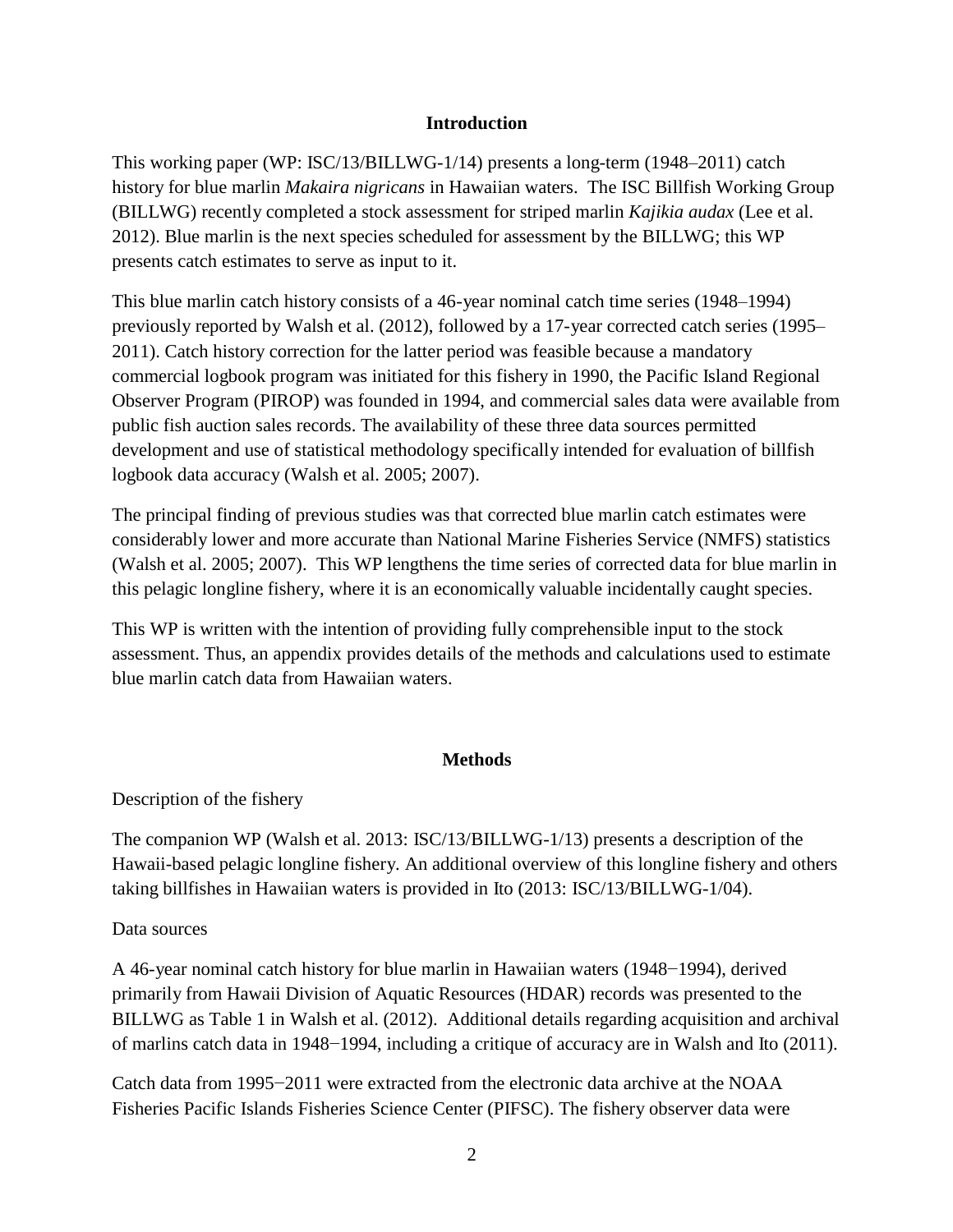## **Introduction**

This working paper (WP: ISC/13/BILLWG-1/14) presents a long-term (1948–2011) catch history for blue marlin *Makaira nigricans* in Hawaiian waters. The ISC Billfish Working Group (BILLWG) recently completed a stock assessment for striped marlin *Kajikia audax* (Lee et al. 2012). Blue marlin is the next species scheduled for assessment by the BILLWG; this WP presents catch estimates to serve as input to it.

This blue marlin catch history consists of a 46-year nominal catch time series (1948–1994) previously reported by Walsh et al. (2012), followed by a 17-year corrected catch series (1995– 2011). Catch history correction for the latter period was feasible because a mandatory commercial logbook program was initiated for this fishery in 1990, the Pacific Island Regional Observer Program (PIROP) was founded in 1994, and commercial sales data were available from public fish auction sales records. The availability of these three data sources permitted development and use of statistical methodology specifically intended for evaluation of billfish logbook data accuracy (Walsh et al. 2005; 2007).

The principal finding of previous studies was that corrected blue marlin catch estimates were considerably lower and more accurate than National Marine Fisheries Service (NMFS) statistics (Walsh et al. 2005; 2007). This WP lengthens the time series of corrected data for blue marlin in this pelagic longline fishery, where it is an economically valuable incidentally caught species.

This WP is written with the intention of providing fully comprehensible input to the stock assessment. Thus, an appendix provides details of the methods and calculations used to estimate blue marlin catch data from Hawaiian waters.

## **Methods**

Description of the fishery

The companion WP (Walsh et al. 2013: ISC/13/BILLWG-1/13) presents a description of the Hawaii-based pelagic longline fishery. An additional overview of this longline fishery and others taking billfishes in Hawaiian waters is provided in Ito (2013: ISC/13/BILLWG-1/04).

## Data sources

A 46-year nominal catch history for blue marlin in Hawaiian waters (1948−1994), derived primarily from Hawaii Division of Aquatic Resources (HDAR) records was presented to the BILLWG as Table 1 in Walsh et al. (2012). Additional details regarding acquisition and archival of marlins catch data in 1948−1994, including a critique of accuracy are in Walsh and Ito (2011).

Catch data from 1995−2011 were extracted from the electronic data archive at the NOAA Fisheries Pacific Islands Fisheries Science Center (PIFSC). The fishery observer data were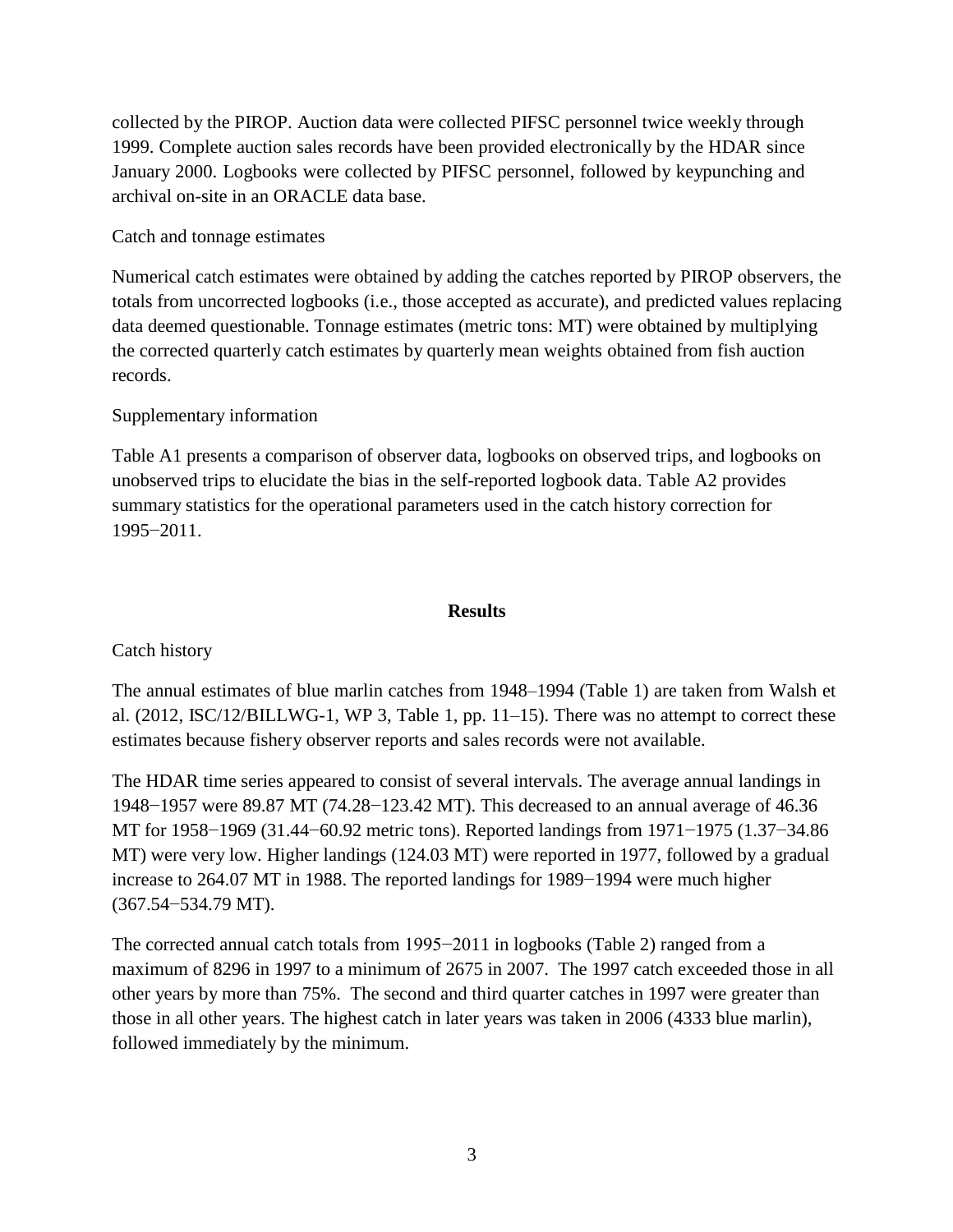collected by the PIROP. Auction data were collected PIFSC personnel twice weekly through 1999. Complete auction sales records have been provided electronically by the HDAR since January 2000. Logbooks were collected by PIFSC personnel, followed by keypunching and archival on-site in an ORACLE data base.

Catch and tonnage estimates

Numerical catch estimates were obtained by adding the catches reported by PIROP observers, the totals from uncorrected logbooks (i.e., those accepted as accurate), and predicted values replacing data deemed questionable. Tonnage estimates (metric tons: MT) were obtained by multiplying the corrected quarterly catch estimates by quarterly mean weights obtained from fish auction records.

# Supplementary information

Table A1 presents a comparison of observer data, logbooks on observed trips, and logbooks on unobserved trips to elucidate the bias in the self-reported logbook data. Table A2 provides summary statistics for the operational parameters used in the catch history correction for 1995−2011.

## **Results**

Catch history

The annual estimates of blue marlin catches from 1948–1994 (Table 1) are taken from Walsh et al. (2012, ISC/12/BILLWG-1, WP 3, Table 1, pp. 11–15). There was no attempt to correct these estimates because fishery observer reports and sales records were not available.

The HDAR time series appeared to consist of several intervals. The average annual landings in 1948−1957 were 89.87 MT (74.28−123.42 MT). This decreased to an annual average of 46.36 MT for 1958−1969 (31.44−60.92 metric tons). Reported landings from 1971−1975 (1.37−34.86 MT) were very low. Higher landings (124.03 MT) were reported in 1977, followed by a gradual increase to 264.07 MT in 1988. The reported landings for 1989−1994 were much higher (367.54−534.79 MT).

The corrected annual catch totals from 1995−2011 in logbooks (Table 2) ranged from a maximum of 8296 in 1997 to a minimum of 2675 in 2007. The 1997 catch exceeded those in all other years by more than 75%. The second and third quarter catches in 1997 were greater than those in all other years. The highest catch in later years was taken in 2006 (4333 blue marlin), followed immediately by the minimum.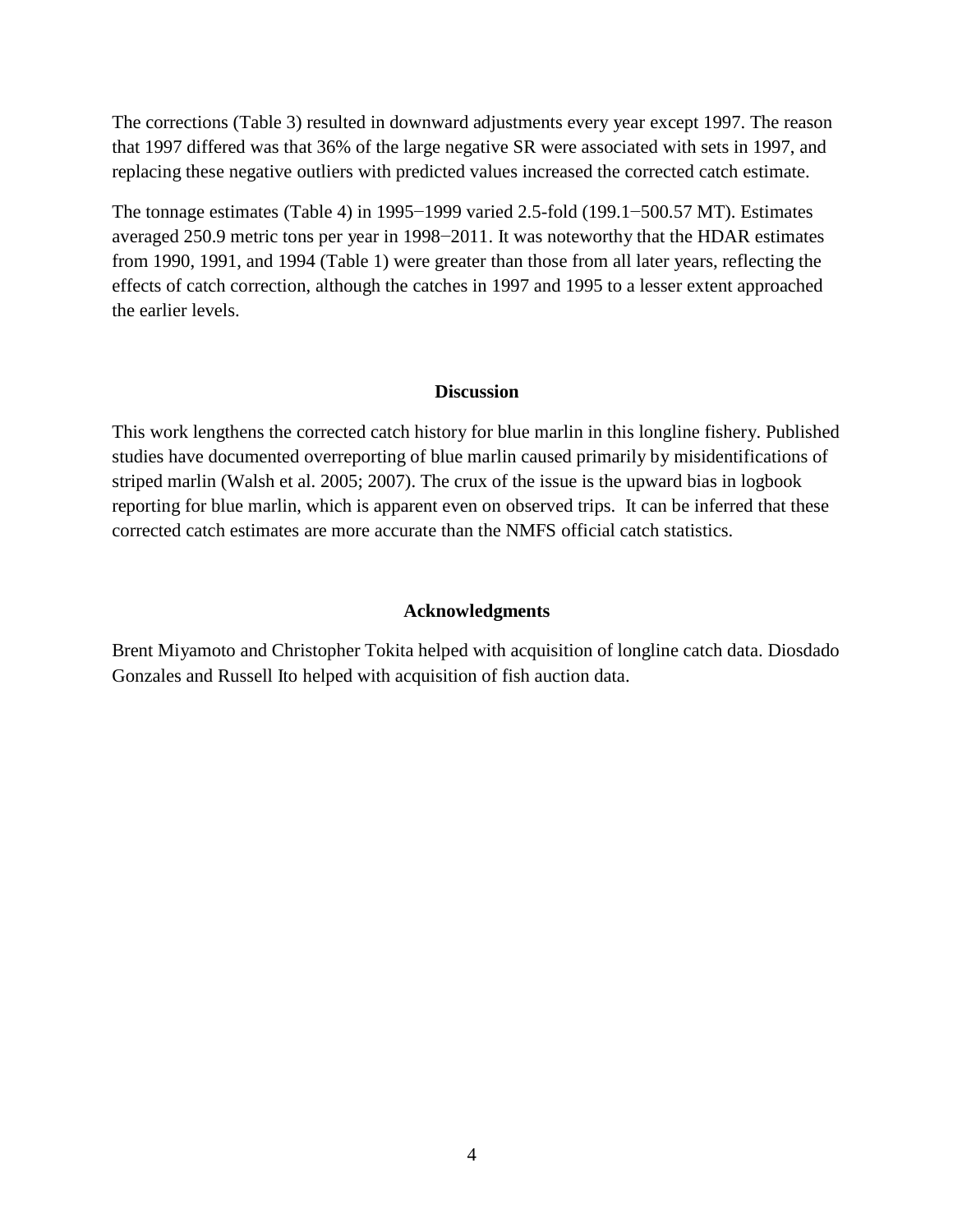The corrections (Table 3) resulted in downward adjustments every year except 1997. The reason that 1997 differed was that 36% of the large negative SR were associated with sets in 1997, and replacing these negative outliers with predicted values increased the corrected catch estimate.

The tonnage estimates (Table 4) in 1995−1999 varied 2.5-fold (199.1−500.57 MT). Estimates averaged 250.9 metric tons per year in 1998−2011. It was noteworthy that the HDAR estimates from 1990, 1991, and 1994 (Table 1) were greater than those from all later years, reflecting the effects of catch correction, although the catches in 1997 and 1995 to a lesser extent approached the earlier levels.

#### **Discussion**

This work lengthens the corrected catch history for blue marlin in this longline fishery. Published studies have documented overreporting of blue marlin caused primarily by misidentifications of striped marlin (Walsh et al. 2005; 2007). The crux of the issue is the upward bias in logbook reporting for blue marlin, which is apparent even on observed trips. It can be inferred that these corrected catch estimates are more accurate than the NMFS official catch statistics.

#### **Acknowledgments**

Brent Miyamoto and Christopher Tokita helped with acquisition of longline catch data. Diosdado Gonzales and Russell Ito helped with acquisition of fish auction data.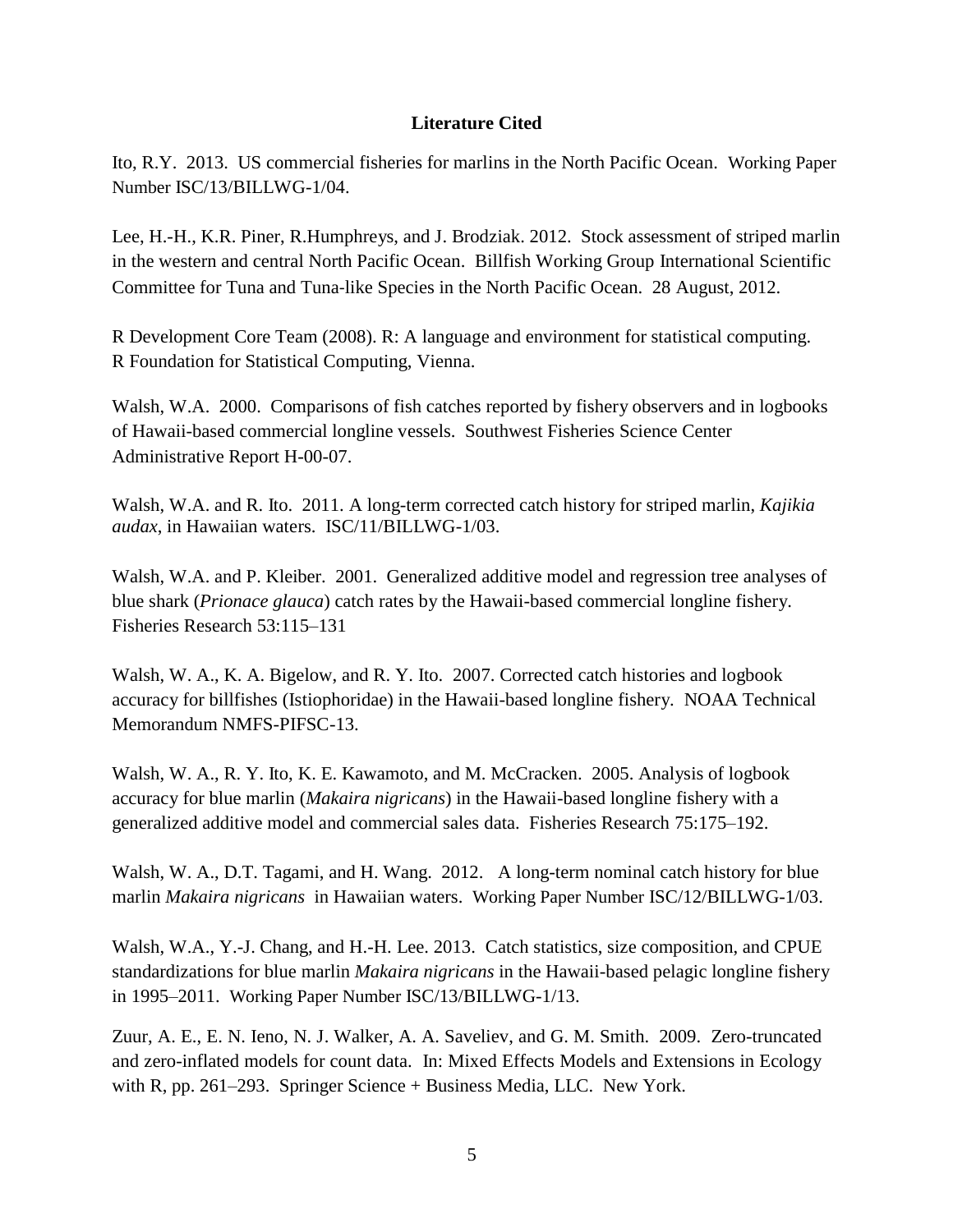## **Literature Cited**

Ito, R.Y. 2013. US commercial fisheries for marlins in the North Pacific Ocean. Working Paper Number ISC/13/BILLWG-1/04.

Lee, H.-H., K.R. Piner, R.Humphreys, and J. Brodziak. 2012. Stock assessment of striped marlin in the western and central North Pacific Ocean. Billfish Working Group International Scientific Committee for Tuna and Tuna‐like Species in the North Pacific Ocean. 28 August, 2012.

R Development Core Team (2008). R: A language and environment for statistical computing. R Foundation for Statistical Computing, Vienna.

Walsh, W.A. 2000. Comparisons of fish catches reported by fishery observers and in logbooks of Hawaii-based commercial longline vessels. Southwest Fisheries Science Center Administrative Report H-00-07.

Walsh, W.A. and R. Ito. 2011. A long-term corrected catch history for striped marlin, *Kajikia audax*, in Hawaiian waters. ISC/11/BILLWG-1/03.

Walsh, W.A. and P. Kleiber. 2001. Generalized additive model and regression tree analyses of blue shark (*Prionace glauca*) catch rates by the Hawaii-based commercial longline fishery. Fisheries Research 53:115–131

Walsh, W. A., K. A. Bigelow, and R. Y. Ito. 2007. Corrected catch histories and logbook accuracy for billfishes (Istiophoridae) in the Hawaii-based longline fishery. NOAA Technical Memorandum NMFS-PIFSC-13.

Walsh, W. A., R. Y. Ito, K. E. Kawamoto, and M. McCracken. 2005. Analysis of logbook accuracy for blue marlin (*Makaira nigricans*) in the Hawaii-based longline fishery with a generalized additive model and commercial sales data. Fisheries Research 75:175–192.

Walsh, W. A., D.T. Tagami, and H. Wang. 2012. A long-term nominal catch history for blue marlin *Makaira nigricans* in Hawaiian waters. Working Paper Number ISC/12/BILLWG-1/03.

Walsh, W.A., Y.-J. Chang, and H.-H. Lee. 2013. Catch statistics, size composition, and CPUE standardizations for blue marlin *Makaira nigricans* in the Hawaii-based pelagic longline fishery in 1995–2011. Working Paper Number ISC/13/BILLWG-1/13.

Zuur, A. E., E. N. Ieno, N. J. Walker, A. A. Saveliev, and G. M. Smith. 2009. Zero-truncated and zero-inflated models for count data. In: Mixed Effects Models and Extensions in Ecology with R, pp. 261–293. Springer Science + Business Media, LLC. New York.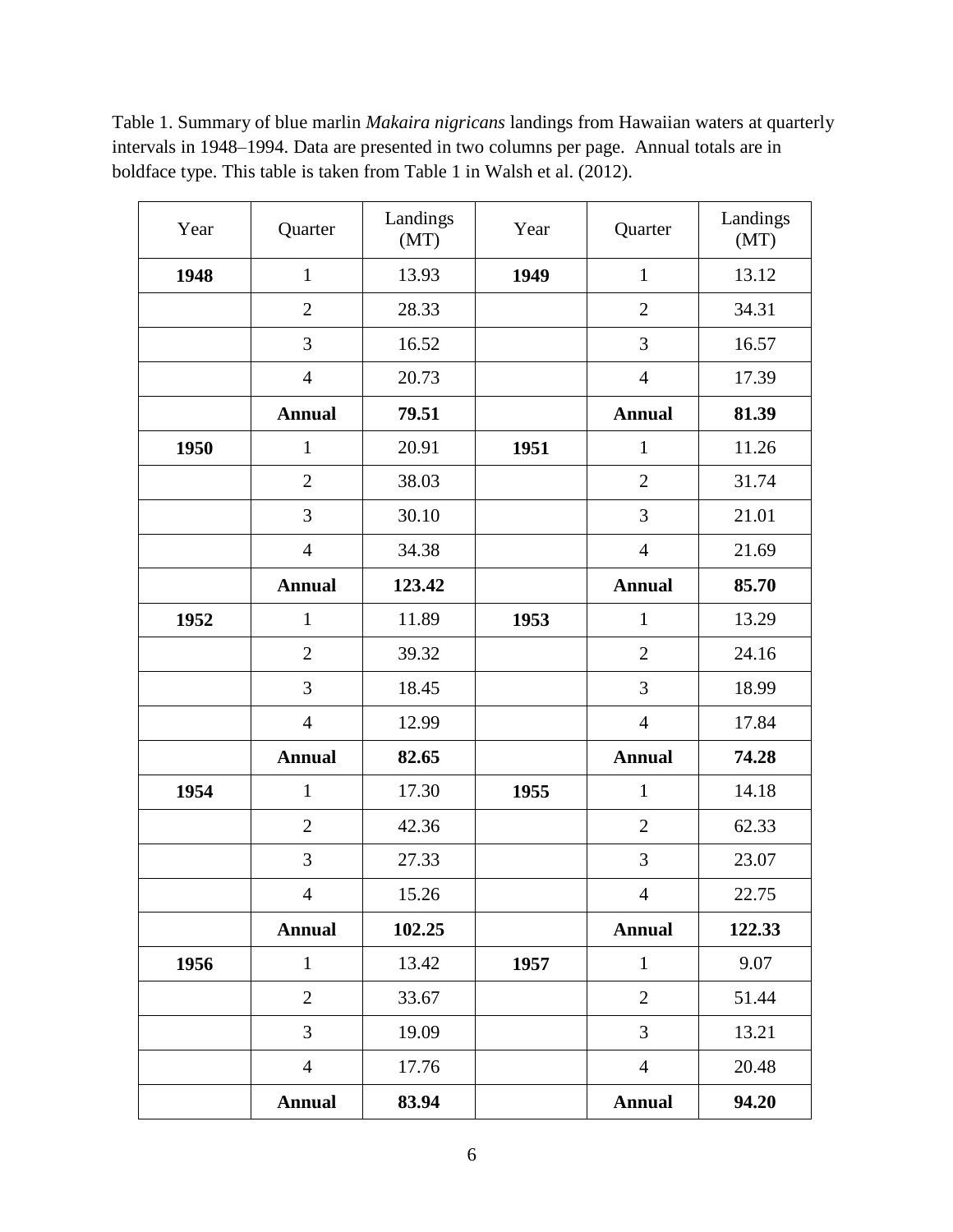Table 1. Summary of blue marlin *Makaira nigricans* landings from Hawaiian waters at quarterly intervals in 1948–1994. Data are presented in two columns per page. Annual totals are in boldface type. This table is taken from Table 1 in Walsh et al. (2012).

| Year | Quarter        | Landings<br>(MT) | Year | Quarter        | Landings<br>(MT) |
|------|----------------|------------------|------|----------------|------------------|
| 1948 | $\mathbf{1}$   | 13.93            | 1949 | $\mathbf{1}$   | 13.12            |
|      | $\overline{2}$ | 28.33            |      | $\overline{2}$ | 34.31            |
|      | 3              | 16.52            |      | 3              | 16.57            |
|      | $\overline{4}$ | 20.73            |      | $\overline{4}$ | 17.39            |
|      | <b>Annual</b>  | 79.51            |      | <b>Annual</b>  | 81.39            |
| 1950 | $\mathbf{1}$   | 20.91            | 1951 | $\mathbf{1}$   | 11.26            |
|      | $\overline{2}$ | 38.03            |      | $\overline{2}$ | 31.74            |
|      | 3              | 30.10            |      | 3              | 21.01            |
|      | $\overline{4}$ | 34.38            |      | $\overline{4}$ | 21.69            |
|      | <b>Annual</b>  | 123.42           |      | <b>Annual</b>  | 85.70            |
| 1952 | $\mathbf{1}$   | 11.89            | 1953 | $\mathbf{1}$   | 13.29            |
|      | $\overline{2}$ | 39.32            |      | $\overline{2}$ | 24.16            |
|      | 3              | 18.45            |      | 3              | 18.99            |
|      | $\overline{4}$ | 12.99            |      | $\overline{4}$ | 17.84            |
|      | <b>Annual</b>  | 82.65            |      | <b>Annual</b>  | 74.28            |
| 1954 | $\mathbf{1}$   | 17.30            | 1955 | $\mathbf{1}$   | 14.18            |
|      | $\overline{2}$ | 42.36            |      | $\overline{2}$ | 62.33            |
|      | 3              | 27.33            |      | 3              | 23.07            |
|      | $\overline{4}$ | 15.26            |      | $\overline{4}$ | 22.75            |
|      | <b>Annual</b>  | 102.25           |      | <b>Annual</b>  | 122.33           |
| 1956 | $\mathbf{1}$   | 13.42            | 1957 | $\mathbf{1}$   | 9.07             |
|      | $\overline{2}$ | 33.67            |      | $\overline{2}$ | 51.44            |
|      | 3              | 19.09            |      | 3              | 13.21            |
|      | $\overline{4}$ | 17.76            |      | $\overline{4}$ | 20.48            |
|      | <b>Annual</b>  | 83.94            |      | <b>Annual</b>  | 94.20            |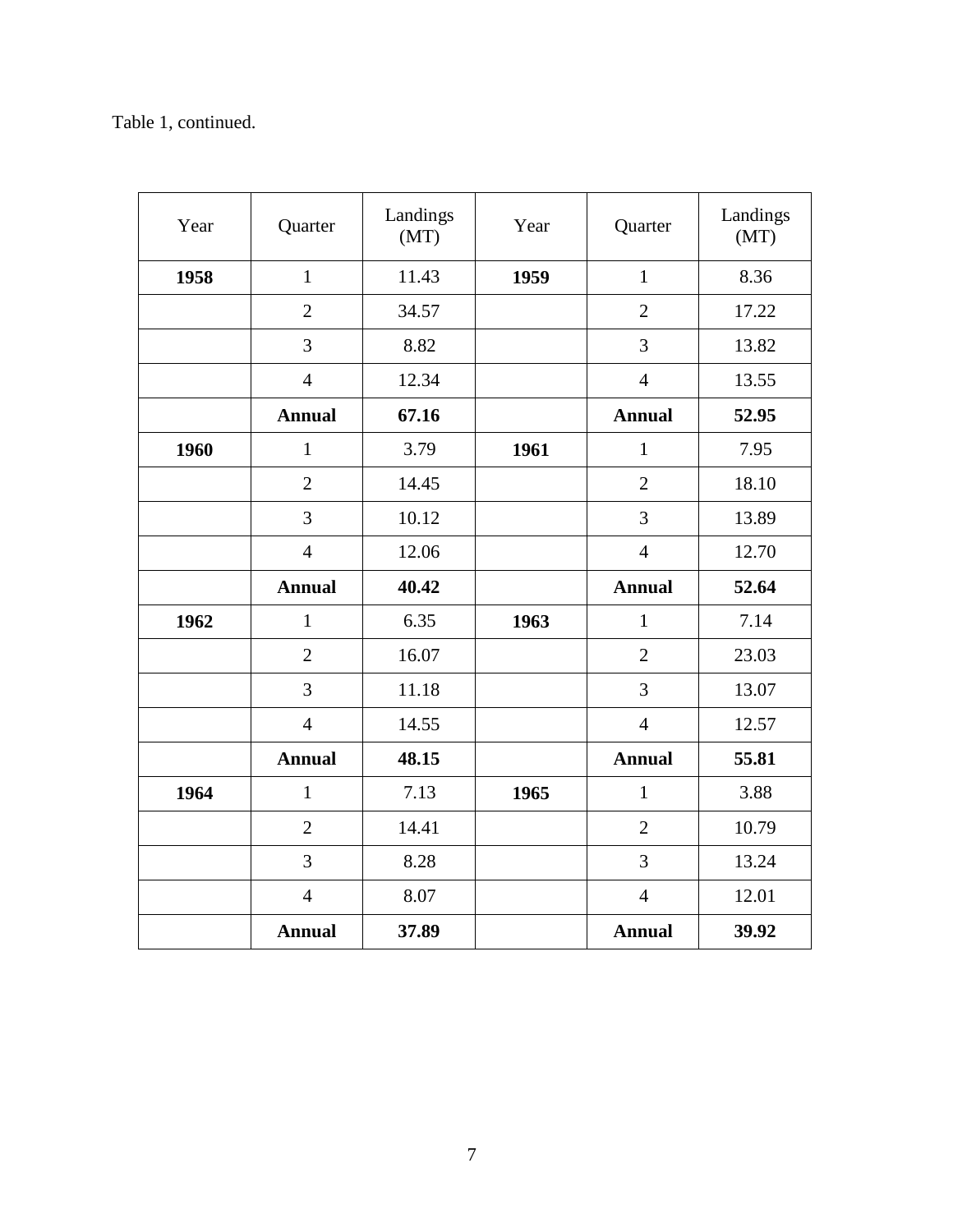# Table 1, continued.

| Year | Quarter        | Landings<br>(MT) | Year           | Quarter        | Landings<br>(MT) |
|------|----------------|------------------|----------------|----------------|------------------|
| 1958 | $\mathbf{1}$   | 11.43            | 1959           | $\mathbf{1}$   | 8.36             |
|      | $\overline{2}$ | 34.57            |                | $\overline{2}$ | 17.22            |
|      | 3              | 8.82             |                | 3              | 13.82            |
|      | $\overline{4}$ | 12.34            |                | $\overline{4}$ | 13.55            |
|      | <b>Annual</b>  | 67.16            |                | <b>Annual</b>  | 52.95            |
| 1960 | $\mathbf{1}$   | 3.79             | 1961           | $\mathbf{1}$   | 7.95             |
|      | $\overline{2}$ | 14.45            |                | $\overline{2}$ | 18.10            |
|      | 3              | 10.12            | $\overline{3}$ |                | 13.89            |
|      | $\overline{4}$ | 12.06            |                | $\overline{4}$ | 12.70            |
|      | <b>Annual</b>  | 40.42            |                | <b>Annual</b>  | 52.64            |
|      |                |                  |                |                |                  |
| 1962 | $\mathbf{1}$   | 6.35             | 1963           | $\mathbf{1}$   | 7.14             |
|      | $\overline{2}$ | 16.07            |                | $\overline{2}$ | 23.03            |
|      | 3              | 11.18            |                | 3              | 13.07            |
|      | $\overline{4}$ | 14.55            |                | $\overline{4}$ | 12.57            |
|      | <b>Annual</b>  | 48.15            |                | <b>Annual</b>  | 55.81            |
| 1964 | $\mathbf{1}$   | 7.13             | 1965           | $\mathbf{1}$   | 3.88             |
|      | $\overline{2}$ | 14.41            |                | $\overline{2}$ | 10.79            |
|      | 3              | 8.28             |                | 3              | 13.24            |
|      | $\overline{4}$ | 8.07             |                | $\overline{4}$ | 12.01            |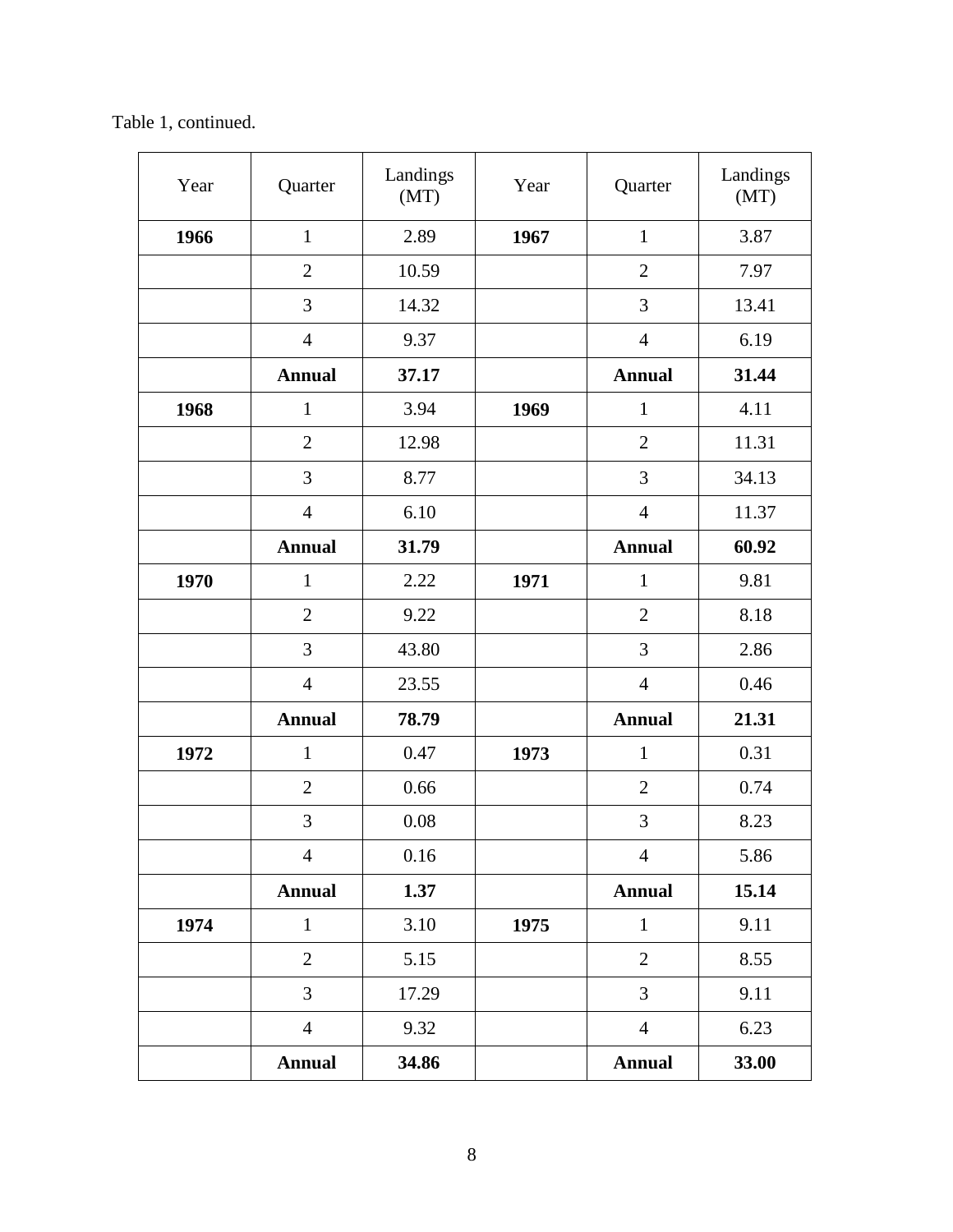Table 1, continued.

| Year | Quarter        | Landings<br>(MT) | Year | Quarter        | Landings<br>(MT) |
|------|----------------|------------------|------|----------------|------------------|
| 1966 | $\mathbf{1}$   | 2.89             | 1967 | $\mathbf{1}$   | 3.87             |
|      | $\overline{2}$ | 10.59            |      | $\overline{2}$ | 7.97             |
|      | 3              | 14.32            |      | 3              | 13.41            |
|      | $\overline{4}$ | 9.37             |      | $\overline{4}$ | 6.19             |
|      | <b>Annual</b>  | 37.17            |      | <b>Annual</b>  | 31.44            |
| 1968 | $\mathbf{1}$   | 3.94             | 1969 | $\mathbf{1}$   | 4.11             |
|      | $\overline{2}$ | 12.98            |      | $\overline{2}$ | 11.31            |
|      | 3              | 8.77             |      | 3              | 34.13            |
|      | $\overline{4}$ | 6.10             |      | $\overline{4}$ | 11.37            |
|      | <b>Annual</b>  | 31.79            |      | <b>Annual</b>  | 60.92            |
| 1970 | $\mathbf{1}$   | 2.22             | 1971 | $\mathbf{1}$   | 9.81             |
|      | $\overline{2}$ | 9.22             |      | $\overline{2}$ | 8.18             |
|      | 3              | 43.80            |      | 3              | 2.86             |
|      | $\overline{4}$ | 23.55            |      | $\overline{4}$ | 0.46             |
|      | <b>Annual</b>  | 78.79            |      | <b>Annual</b>  | 21.31            |
| 1972 | $\mathbf{1}$   | 0.47             | 1973 | $\mathbf{1}$   | 0.31             |
|      | $\overline{2}$ | 0.66             |      | $\overline{2}$ | 0.74             |
|      | 3              | 0.08             |      | 3              | 8.23             |
|      | $\overline{4}$ | 0.16             |      | $\overline{4}$ | 5.86             |
|      | <b>Annual</b>  | 1.37             |      | <b>Annual</b>  | 15.14            |
| 1974 | $\mathbf{1}$   | 3.10             | 1975 | $\mathbf{1}$   | 9.11             |
|      | $\overline{2}$ | 5.15             |      | $\overline{2}$ | 8.55             |
|      | 3              | 17.29            |      | 3              | 9.11             |
|      | $\overline{4}$ | 9.32             |      | $\overline{4}$ | 6.23             |
|      | <b>Annual</b>  | 34.86            |      | <b>Annual</b>  | 33.00            |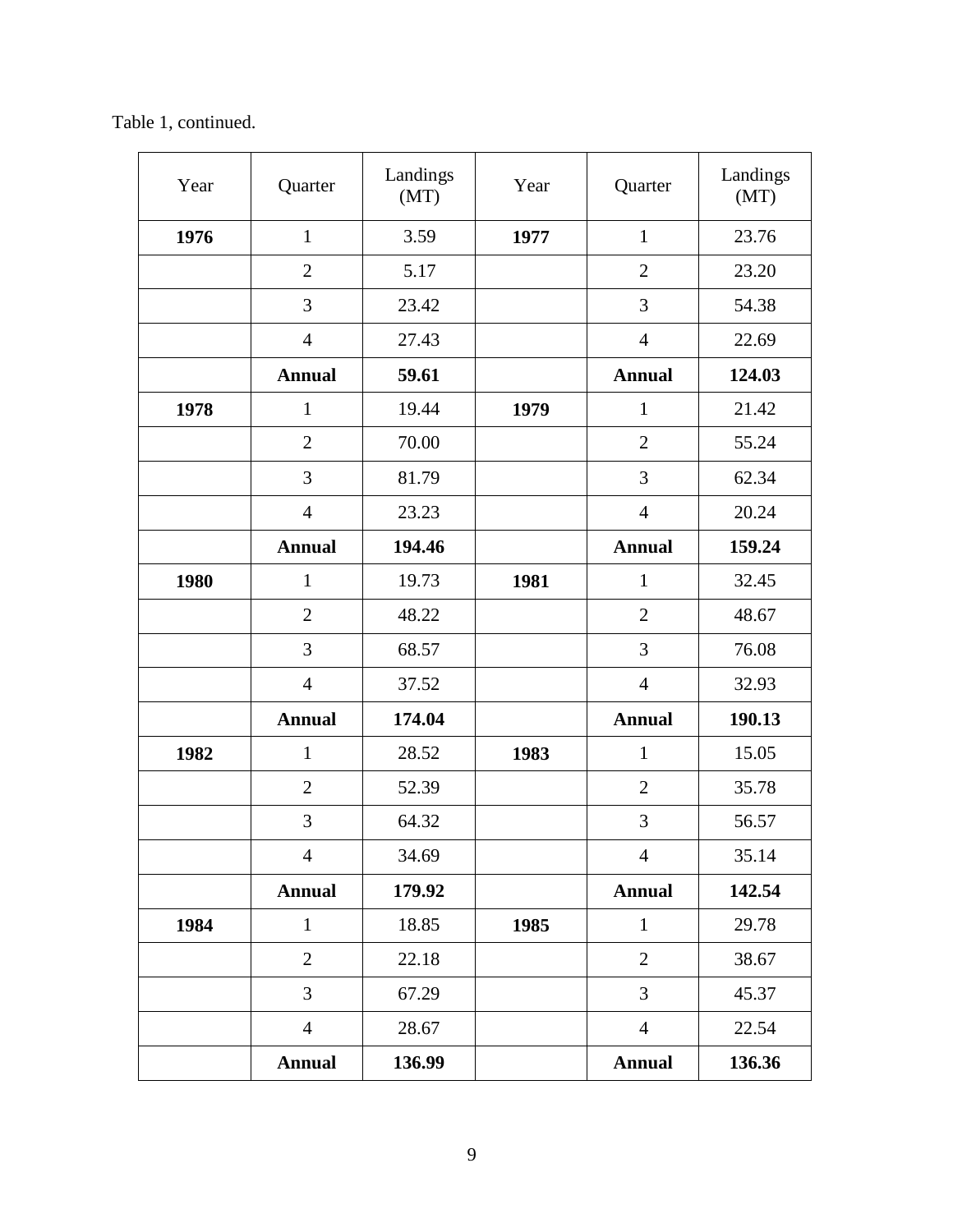Table 1, continued.

| Year | Quarter        | Landings<br>(MT) | Year | Quarter        | Landings<br>(MT) |
|------|----------------|------------------|------|----------------|------------------|
| 1976 | $\mathbf{1}$   | 3.59             | 1977 | $\mathbf{1}$   | 23.76            |
|      | $\overline{2}$ | 5.17             |      | $\overline{2}$ | 23.20            |
|      | 3              | 23.42            |      | 3              | 54.38            |
|      | $\overline{4}$ | 27.43            |      | $\overline{4}$ | 22.69            |
|      | <b>Annual</b>  | 59.61            |      | <b>Annual</b>  | 124.03           |
| 1978 | $\mathbf{1}$   | 19.44            | 1979 | $\mathbf{1}$   | 21.42            |
|      | $\overline{2}$ | 70.00            |      | $\overline{2}$ | 55.24            |
|      | 3              | 81.79            |      | 3              | 62.34            |
|      | $\overline{4}$ | 23.23            |      | $\overline{4}$ | 20.24            |
|      | <b>Annual</b>  | 194.46           |      | <b>Annual</b>  | 159.24           |
| 1980 | $\mathbf{1}$   | 19.73            | 1981 | $\mathbf{1}$   | 32.45            |
|      | $\overline{2}$ | 48.22            |      | $\overline{2}$ | 48.67            |
|      | 3              | 68.57            |      | 3              | 76.08            |
|      | $\overline{4}$ | 37.52            |      | $\overline{4}$ | 32.93            |
|      | <b>Annual</b>  | 174.04           |      | <b>Annual</b>  | 190.13           |
| 1982 | $\mathbf{1}$   | 28.52            | 1983 | $\mathbf{1}$   | 15.05            |
|      | $\overline{2}$ | 52.39            |      | $\overline{2}$ | 35.78            |
|      | 3              | 64.32            |      | 3              | 56.57            |
|      | $\overline{4}$ | 34.69            |      | $\overline{4}$ | 35.14            |
|      | <b>Annual</b>  | 179.92           |      | <b>Annual</b>  | 142.54           |
| 1984 | $\mathbf{1}$   | 18.85            | 1985 | $\mathbf{1}$   | 29.78            |
|      | $\overline{2}$ | 22.18            |      | $\overline{2}$ | 38.67            |
|      | 3              | 67.29            |      | 3              | 45.37            |
|      | $\overline{4}$ | 28.67            |      | $\overline{4}$ | 22.54            |
|      | <b>Annual</b>  | 136.99           |      | <b>Annual</b>  | 136.36           |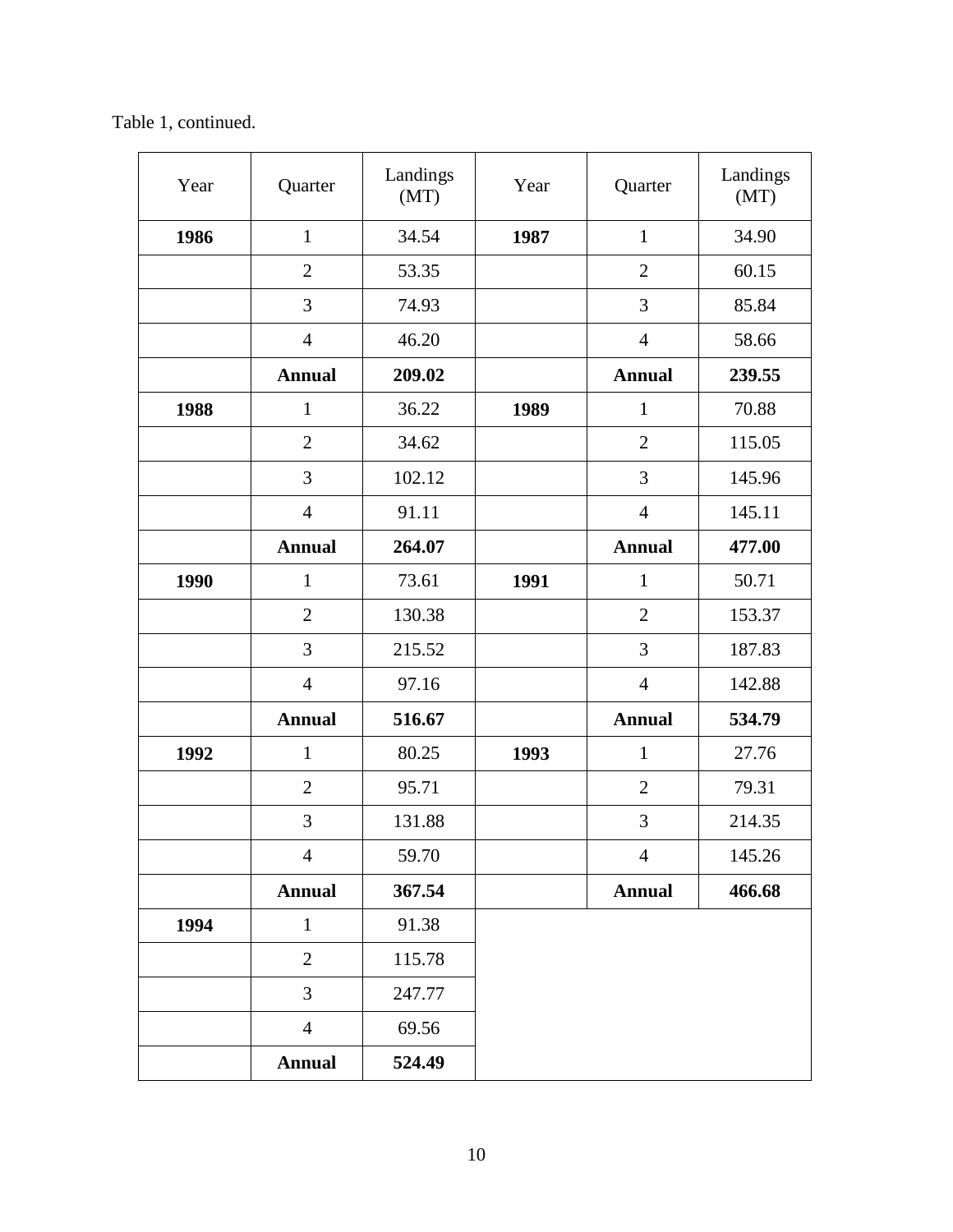Table 1, continued.

| Quarter        | Landings<br>(MT) | Year<br>Quarter |                | Landings<br>(MT) |
|----------------|------------------|-----------------|----------------|------------------|
| $\mathbf{1}$   | 34.54            | 1987            | $\mathbf{1}$   | 34.90            |
| $\overline{2}$ | 53.35            |                 | $\overline{2}$ | 60.15            |
| 3              | 74.93            |                 | 3              | 85.84            |
| $\overline{4}$ | 46.20            |                 | $\overline{4}$ | 58.66            |
| <b>Annual</b>  | 209.02           |                 | <b>Annual</b>  | 239.55           |
| $\mathbf{1}$   | 36.22            | 1989            | $\mathbf{1}$   | 70.88            |
| $\overline{2}$ | 34.62            |                 | $\overline{2}$ | 115.05           |
| 3              | 102.12           |                 | 3              | 145.96           |
| $\overline{4}$ | 91.11            |                 | $\overline{4}$ | 145.11           |
| <b>Annual</b>  | 264.07           |                 | <b>Annual</b>  | 477.00           |
| $\mathbf{1}$   | 73.61            | 1991            | $\mathbf{1}$   | 50.71            |
| $\overline{2}$ | 130.38           |                 | $\overline{2}$ | 153.37           |
| 3              | 215.52           |                 | 3              | 187.83           |
| $\overline{4}$ | 97.16            |                 | $\overline{4}$ | 142.88           |
| <b>Annual</b>  | 516.67           |                 | <b>Annual</b>  | 534.79           |
| $\mathbf{1}$   | 80.25            | 1993            | $\mathbf{1}$   | 27.76            |
| $\overline{2}$ | 95.71            |                 | $\overline{2}$ | 79.31            |
| 3              | 131.88           |                 | 3              | 214.35           |
| $\overline{4}$ | 59.70            |                 | $\overline{4}$ | 145.26           |
| <b>Annual</b>  | 367.54           |                 | <b>Annual</b>  | 466.68           |
| $\mathbf{1}$   | 91.38            |                 |                |                  |
| $\overline{2}$ | 115.78           |                 |                |                  |
| 3              | 247.77           |                 |                |                  |
| $\overline{4}$ | 69.56            |                 |                |                  |
| <b>Annual</b>  | 524.49           |                 |                |                  |
|                |                  |                 |                |                  |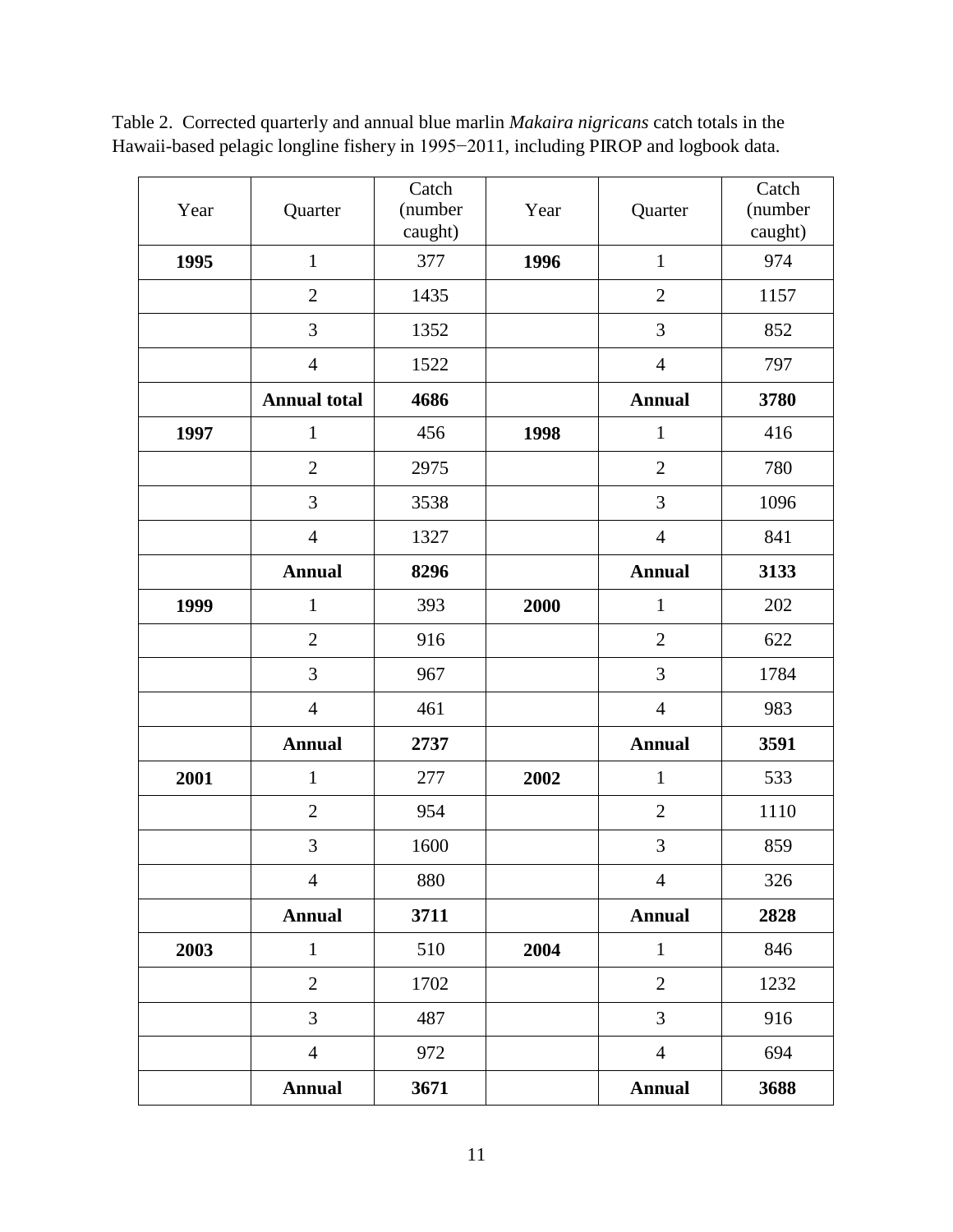| Year | Quarter             | Catch<br>(number<br>caught) | Year | Quarter        | Catch<br>(number<br>caught) |
|------|---------------------|-----------------------------|------|----------------|-----------------------------|
| 1995 | $\mathbf{1}$        | 377                         | 1996 | $\mathbf{1}$   | 974                         |
|      | $\mathbf{2}$        | 1435                        |      | $\overline{2}$ | 1157                        |
|      | 3                   | 1352                        |      | 3              | 852                         |
|      | $\overline{4}$      | 1522                        |      | $\overline{4}$ | 797                         |
|      | <b>Annual total</b> | 4686                        |      | <b>Annual</b>  | 3780                        |
| 1997 | $\mathbf{1}$        | 456                         | 1998 | $\mathbf{1}$   | 416                         |
|      | $\overline{2}$      | 2975                        |      | $\overline{2}$ | 780                         |
|      | 3                   | 3538                        |      | 3              | 1096                        |
|      | $\overline{4}$      | 1327                        |      | $\overline{4}$ | 841                         |
|      | <b>Annual</b>       | 8296                        |      | <b>Annual</b>  | 3133                        |
| 1999 | $\mathbf{1}$        | 393                         | 2000 | $\mathbf{1}$   | 202                         |
|      | $\overline{2}$      | 916                         |      | $\overline{2}$ | 622                         |
|      | 3                   | 967                         |      | 3              | 1784                        |
|      | $\overline{4}$      | 461                         |      | $\overline{4}$ | 983                         |
|      | <b>Annual</b>       | 2737                        |      | <b>Annual</b>  | 3591                        |
| 2001 | $\mathbf{1}$        | 277                         | 2002 | $\mathbf 1$    | 533                         |
|      | $\mathbf{2}$        | 954                         |      | $\mathbf{2}$   | 1110                        |
|      | 3                   | 1600                        |      | 3              | 859                         |
|      | $\overline{4}$      | 880                         |      | $\overline{4}$ | 326                         |
|      | <b>Annual</b>       | 3711                        |      | <b>Annual</b>  | 2828                        |
| 2003 | $\mathbf{1}$        | 510                         | 2004 | $\mathbf{1}$   | 846                         |
|      | $\overline{2}$      | 1702                        |      | $\overline{2}$ | 1232                        |
|      | $\overline{3}$      | 487                         |      | 3              | 916                         |
|      | $\overline{4}$      | 972                         |      | $\overline{4}$ | 694                         |
|      | <b>Annual</b>       | 3671                        |      | <b>Annual</b>  | 3688                        |

Table 2. Corrected quarterly and annual blue marlin *Makaira nigricans* catch totals in the Hawaii-based pelagic longline fishery in 1995−2011, including PIROP and logbook data.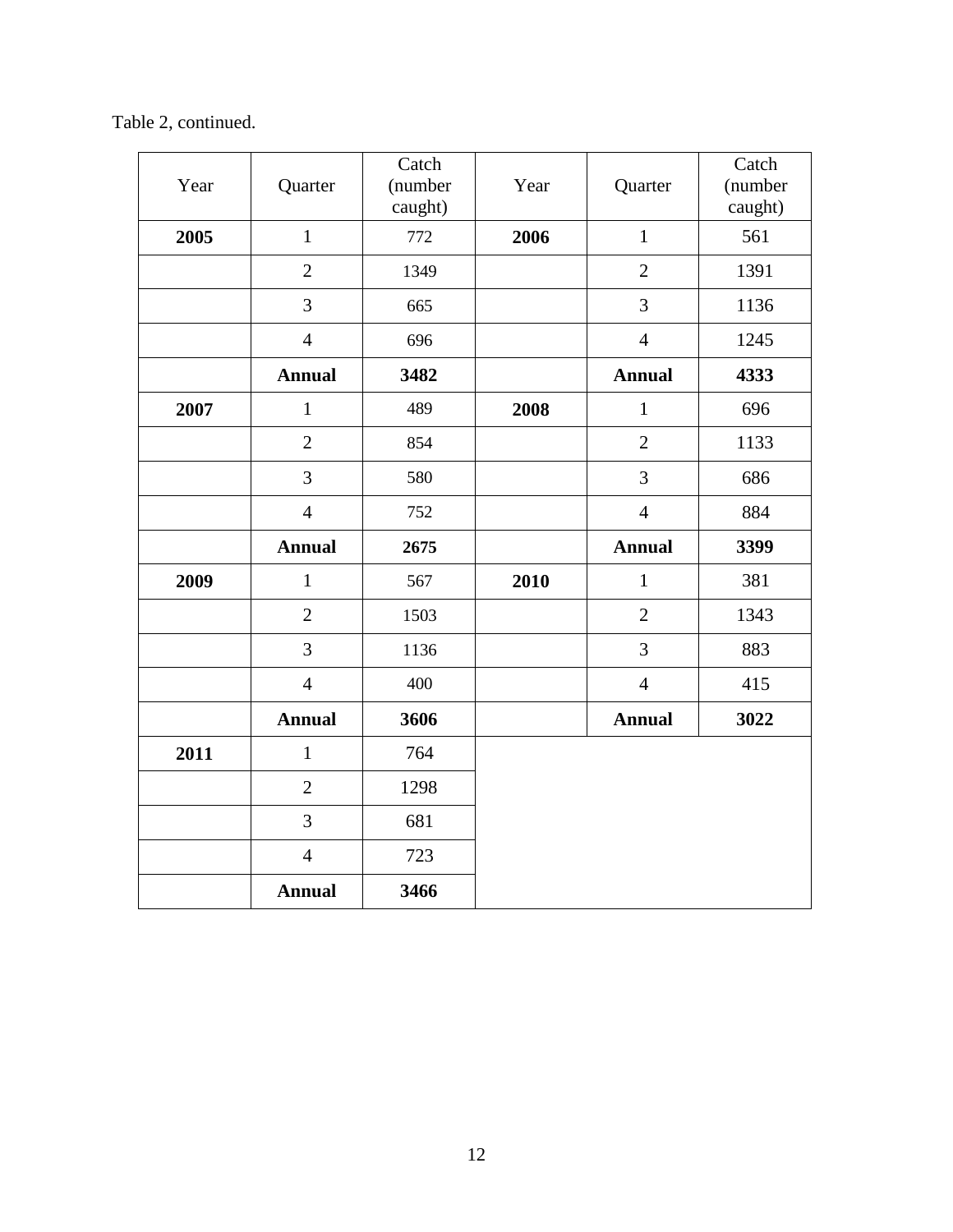Table 2, continued.

| Year | Quarter        | Catch<br>(number<br>caught) | Year | Quarter        | Catch<br>(number<br>caught) |
|------|----------------|-----------------------------|------|----------------|-----------------------------|
| 2005 | $\mathbf{1}$   | 772                         | 2006 | $\mathbf{1}$   | 561                         |
|      | $\overline{2}$ | 1349                        |      | $\overline{2}$ | 1391                        |
|      | 3              | 665                         |      | 3              | 1136                        |
|      | $\overline{4}$ | 696                         |      | $\overline{4}$ | 1245                        |
|      | <b>Annual</b>  | 3482                        |      | <b>Annual</b>  | 4333                        |
| 2007 | $\mathbf{1}$   | 489                         | 2008 | $\mathbf{1}$   | 696                         |
|      | $\overline{2}$ | 854                         |      | $\overline{2}$ | 1133                        |
|      | 3              | 580                         |      | 3              | 686                         |
|      | $\overline{4}$ | 752                         |      | $\overline{4}$ | 884                         |
|      | <b>Annual</b>  | 2675                        |      | <b>Annual</b>  | 3399                        |
| 2009 | $\mathbf{1}$   | 567                         | 2010 | $\mathbf{1}$   | 381                         |
|      | $\overline{2}$ | 1503                        |      | $\overline{2}$ | 1343                        |
|      | $\overline{3}$ | 1136                        |      | 3              | 883                         |
|      | $\overline{4}$ | 400                         |      | $\overline{4}$ | 415                         |
|      | <b>Annual</b>  | 3606                        |      | <b>Annual</b>  | 3022                        |
| 2011 | $\mathbf{1}$   | 764                         |      |                |                             |
|      | $\overline{2}$ | 1298                        |      |                |                             |
|      | 3              | 681                         |      |                |                             |
|      | $\overline{4}$ | 723                         |      |                |                             |
|      | <b>Annual</b>  | 3466                        |      |                |                             |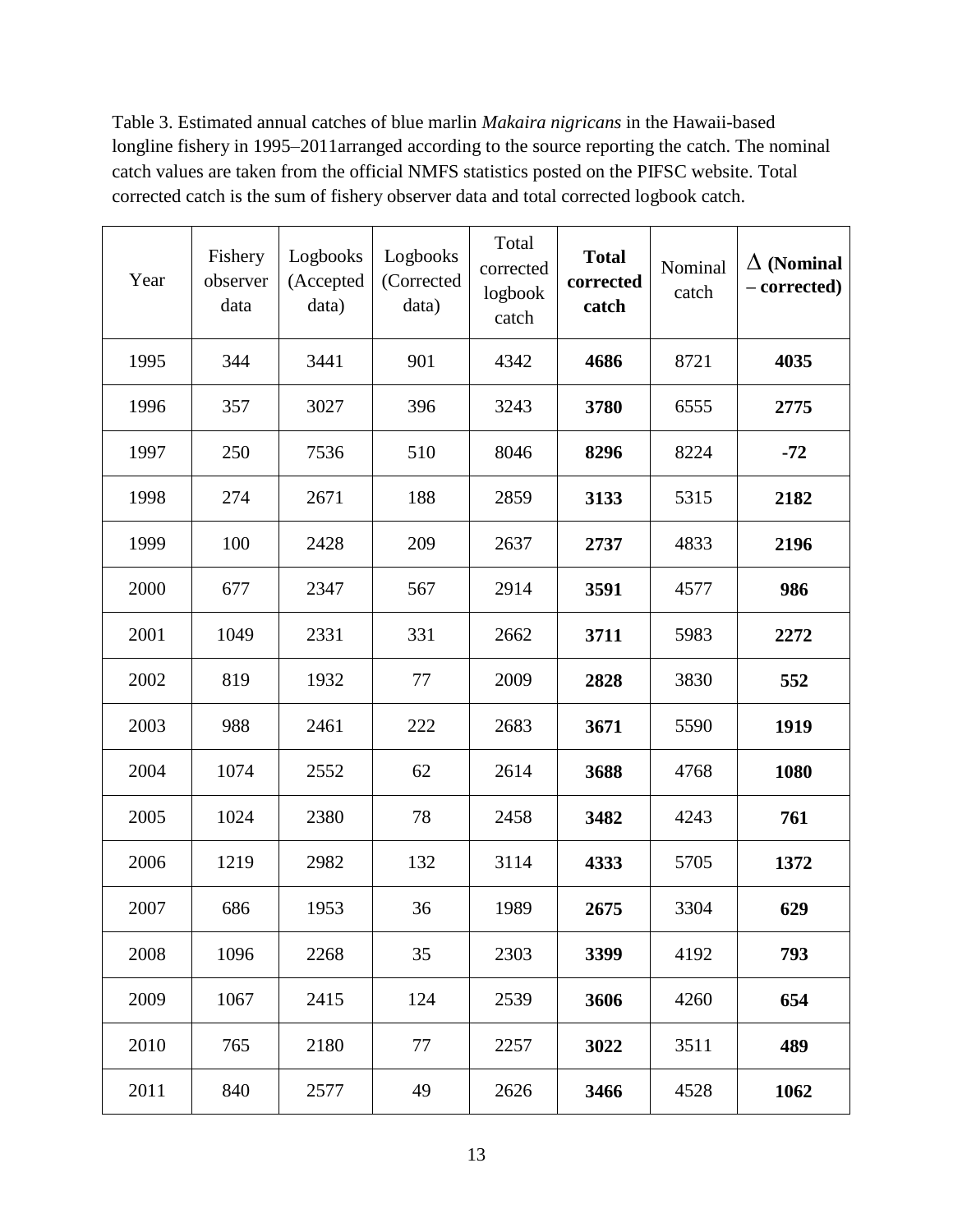Table 3. Estimated annual catches of blue marlin *Makaira nigricans* in the Hawaii-based longline fishery in 1995–2011arranged according to the source reporting the catch. The nominal catch values are taken from the official NMFS statistics posted on the PIFSC website. Total corrected catch is the sum of fishery observer data and total corrected logbook catch.

| Year | Fishery<br>observer<br>data | Logbooks<br>(Accepted<br>data) | Logbooks<br>(Corrected<br>data) | Total<br>corrected<br>logbook<br>catch | <b>Total</b><br>corrected<br>catch | Nominal<br>catch | $\Delta$ (Nominal<br>- corrected) |
|------|-----------------------------|--------------------------------|---------------------------------|----------------------------------------|------------------------------------|------------------|-----------------------------------|
| 1995 | 344                         | 3441                           | 901                             | 4342                                   | 4686                               | 8721             | 4035                              |
| 1996 | 357                         | 3027                           | 396                             | 3243                                   | 3780                               | 6555             | 2775                              |
| 1997 | 250                         | 7536                           | 510                             | 8046                                   | 8296                               | 8224             | $-72$                             |
| 1998 | 274                         | 2671                           | 188                             | 2859                                   | 3133                               | 5315             | 2182                              |
| 1999 | 100                         | 2428                           | 209                             | 2637                                   | 2737                               | 4833             | 2196                              |
| 2000 | 677                         | 2347                           | 567                             | 2914                                   | 3591                               | 4577             | 986                               |
| 2001 | 1049                        | 2331                           | 331                             | 2662                                   | 3711                               | 5983             | 2272                              |
| 2002 | 819                         | 1932                           | 77                              | 2009                                   | 2828                               | 3830             | 552                               |
| 2003 | 988                         | 2461                           | 222                             | 2683                                   | 3671                               | 5590             | 1919                              |
| 2004 | 1074                        | 2552                           | 62                              | 2614                                   | 3688                               | 4768             | 1080                              |
| 2005 | 1024                        | 2380                           | 78                              | 2458                                   | 3482                               | 4243             | 761                               |
| 2006 | 1219                        | 2982                           | 132                             | 3114                                   | 4333                               | 5705             | 1372                              |
| 2007 | 686                         | 1953                           | 36                              | 1989                                   | 2675                               | 3304             | 629                               |
| 2008 | 1096                        | 2268                           | 35                              | 2303                                   | 3399                               | 4192             | 793                               |
| 2009 | 1067                        | 2415                           | 124                             | 2539                                   | 3606                               | 4260             | 654                               |
| 2010 | 765                         | 2180                           | 77                              | 2257                                   | 3022                               | 3511             | 489                               |
| 2011 | 840                         | 2577                           | 49                              | 2626                                   | 3466                               | 4528             | 1062                              |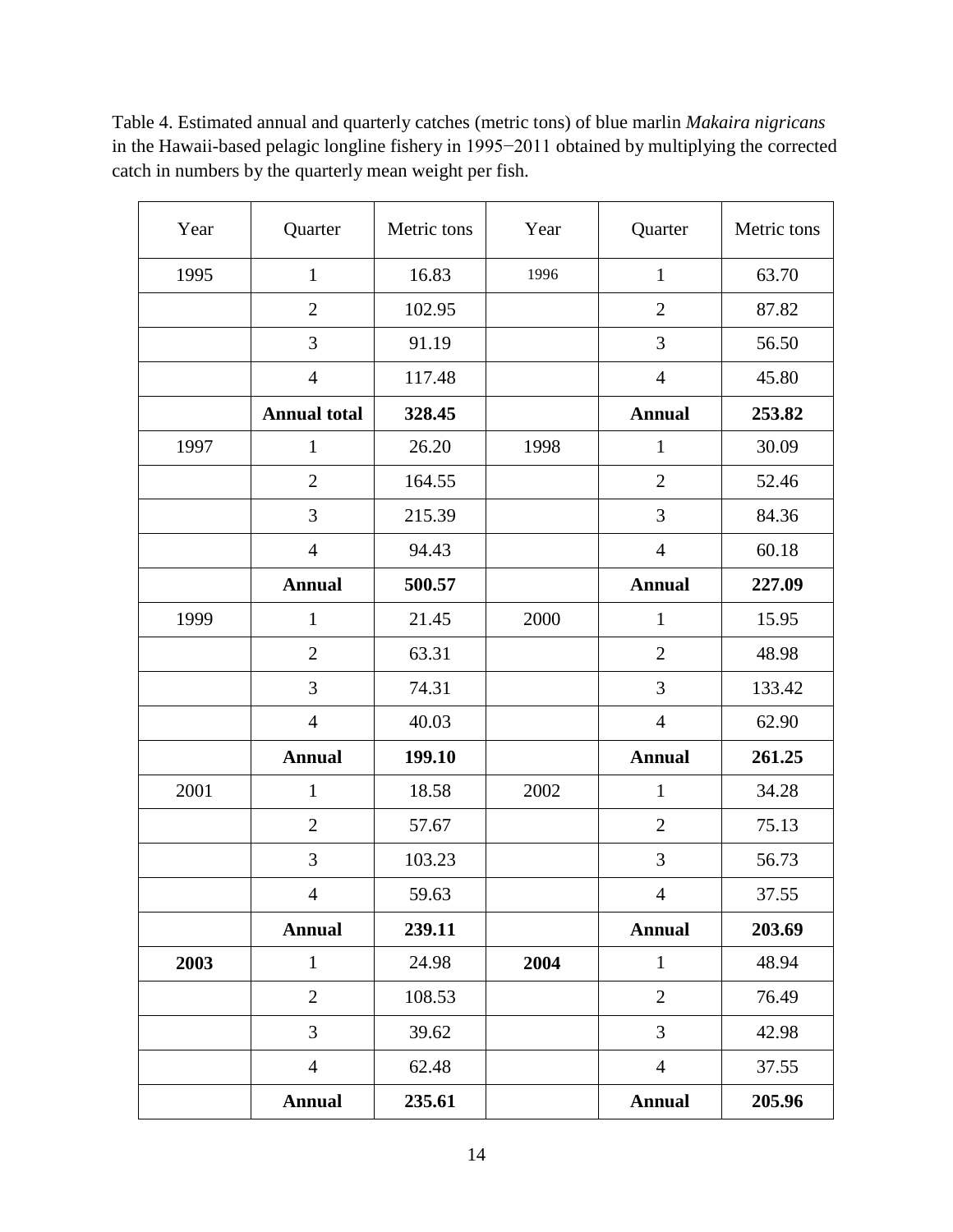| Year | Quarter             | Metric tons | Year | Quarter        | Metric tons |
|------|---------------------|-------------|------|----------------|-------------|
| 1995 | $\mathbf{1}$        | 16.83       | 1996 | $\mathbf{1}$   | 63.70       |
|      | $\mathbf{2}$        | 102.95      |      | $\mathbf{2}$   | 87.82       |
|      | 3                   | 91.19       |      | 3              | 56.50       |
|      | $\overline{4}$      | 117.48      |      | $\overline{4}$ | 45.80       |
|      | <b>Annual total</b> | 328.45      |      | <b>Annual</b>  | 253.82      |
| 1997 | $\mathbf{1}$        | 26.20       | 1998 | $\mathbf{1}$   | 30.09       |
|      | $\overline{2}$      | 164.55      |      | $\overline{2}$ | 52.46       |
|      | 3                   | 215.39      |      | 3              | 84.36       |
|      | $\overline{4}$      | 94.43       |      | $\overline{4}$ | 60.18       |
|      | <b>Annual</b>       | 500.57      |      | <b>Annual</b>  | 227.09      |
| 1999 | $\mathbf{1}$        | 21.45       | 2000 | $\mathbf{1}$   | 15.95       |
|      | $\mathbf{2}$        | 63.31       |      | $\mathbf{2}$   | 48.98       |
|      | 3                   | 74.31       |      | 3              | 133.42      |
|      | $\overline{4}$      | 40.03       |      | $\overline{4}$ | 62.90       |
|      | <b>Annual</b>       | 199.10      |      | <b>Annual</b>  | 261.25      |
| 2001 | $\mathbf{1}$        | 18.58       | 2002 | $\mathbf{1}$   | 34.28       |
|      | $\overline{2}$      | 57.67       |      | $\overline{2}$ | 75.13       |
|      | 3                   | 103.23      |      | $\mathfrak{Z}$ | 56.73       |
|      | $\overline{4}$      | 59.63       |      | 4              | 37.55       |
|      | <b>Annual</b>       | 239.11      |      | <b>Annual</b>  | 203.69      |
| 2003 | $\mathbf{1}$        | 24.98       | 2004 | $\mathbf{1}$   | 48.94       |
|      | $\overline{2}$      | 108.53      |      | $\mathbf{2}$   | 76.49       |
|      | $\overline{3}$      | 39.62       |      | 3              | 42.98       |
|      | $\overline{4}$      | 62.48       |      | $\overline{4}$ | 37.55       |
|      | <b>Annual</b>       | 235.61      |      | <b>Annual</b>  | 205.96      |

Table 4. Estimated annual and quarterly catches (metric tons) of blue marlin *Makaira nigricans* in the Hawaii-based pelagic longline fishery in 1995−2011 obtained by multiplying the corrected catch in numbers by the quarterly mean weight per fish.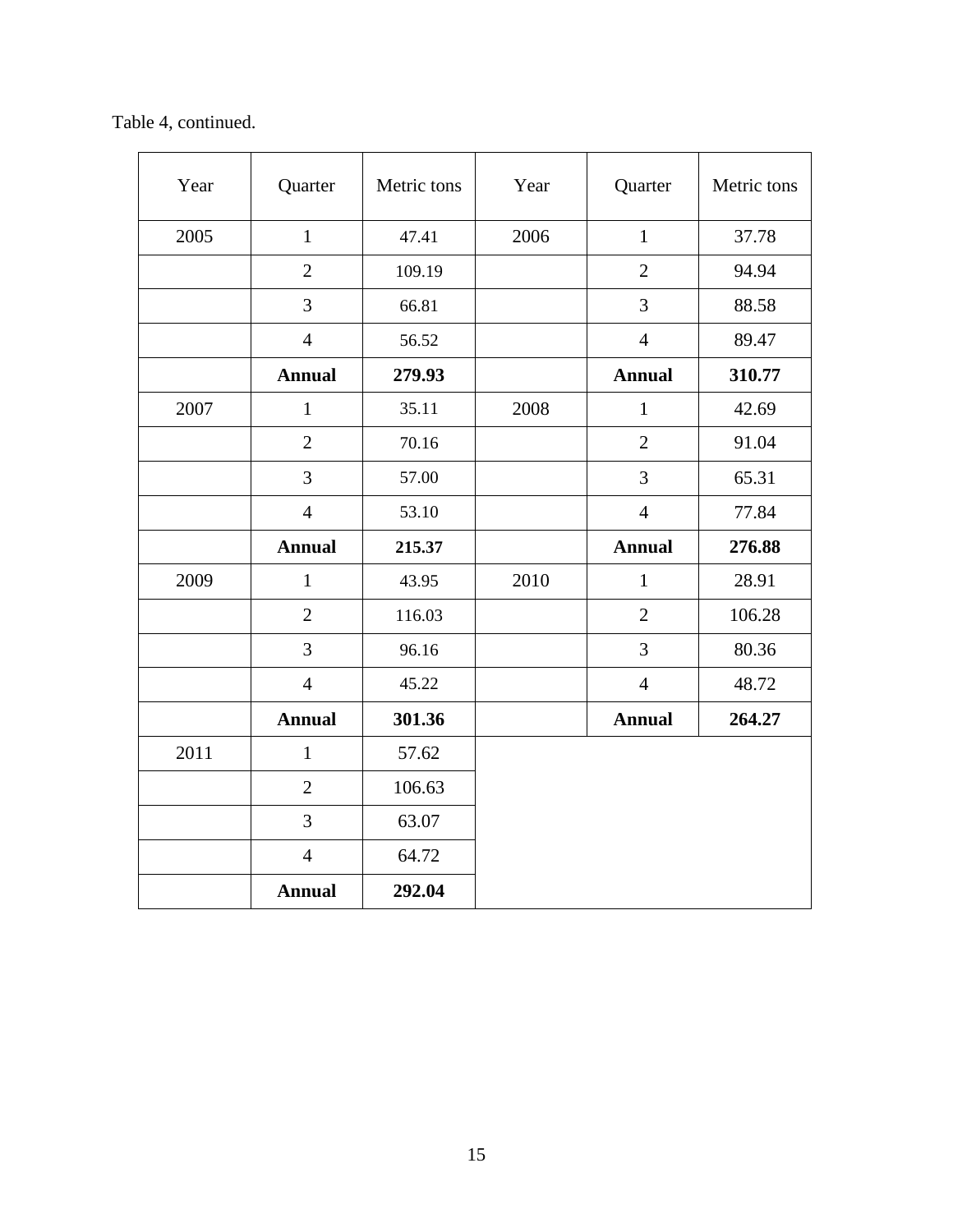Table 4, continued.

| Year | Quarter        | Metric tons | Year | Quarter        | Metric tons |
|------|----------------|-------------|------|----------------|-------------|
| 2005 | $\mathbf{1}$   | 47.41       | 2006 | $\mathbf{1}$   | 37.78       |
|      | $\overline{2}$ | 109.19      |      | $\overline{2}$ | 94.94       |
|      | 3              | 66.81       |      | 3              | 88.58       |
|      | $\overline{4}$ | 56.52       |      | $\overline{4}$ | 89.47       |
|      | <b>Annual</b>  | 279.93      |      | <b>Annual</b>  | 310.77      |
| 2007 | $\mathbf{1}$   | 35.11       | 2008 | $\mathbf{1}$   | 42.69       |
|      | $\overline{2}$ | 70.16       |      | $\overline{2}$ | 91.04       |
|      | 3              | 57.00       |      | 3              | 65.31       |
|      | $\overline{4}$ | 53.10       |      | $\overline{4}$ | 77.84       |
|      | <b>Annual</b>  | 215.37      |      | <b>Annual</b>  | 276.88      |
| 2009 | $\mathbf{1}$   | 43.95       | 2010 | $\mathbf{1}$   | 28.91       |
|      | $\overline{2}$ | 116.03      |      | $\overline{2}$ | 106.28      |
|      | 3              | 96.16       |      | 3              | 80.36       |
|      | $\overline{4}$ | 45.22       |      | $\overline{4}$ | 48.72       |
|      | <b>Annual</b>  | 301.36      |      | <b>Annual</b>  | 264.27      |
| 2011 | $\mathbf{1}$   | 57.62       |      |                |             |
|      | $\mathbf{2}$   | 106.63      |      |                |             |
|      | 3              | 63.07       |      |                |             |
|      | $\overline{4}$ | 64.72       |      |                |             |
|      | <b>Annual</b>  | 292.04      |      |                |             |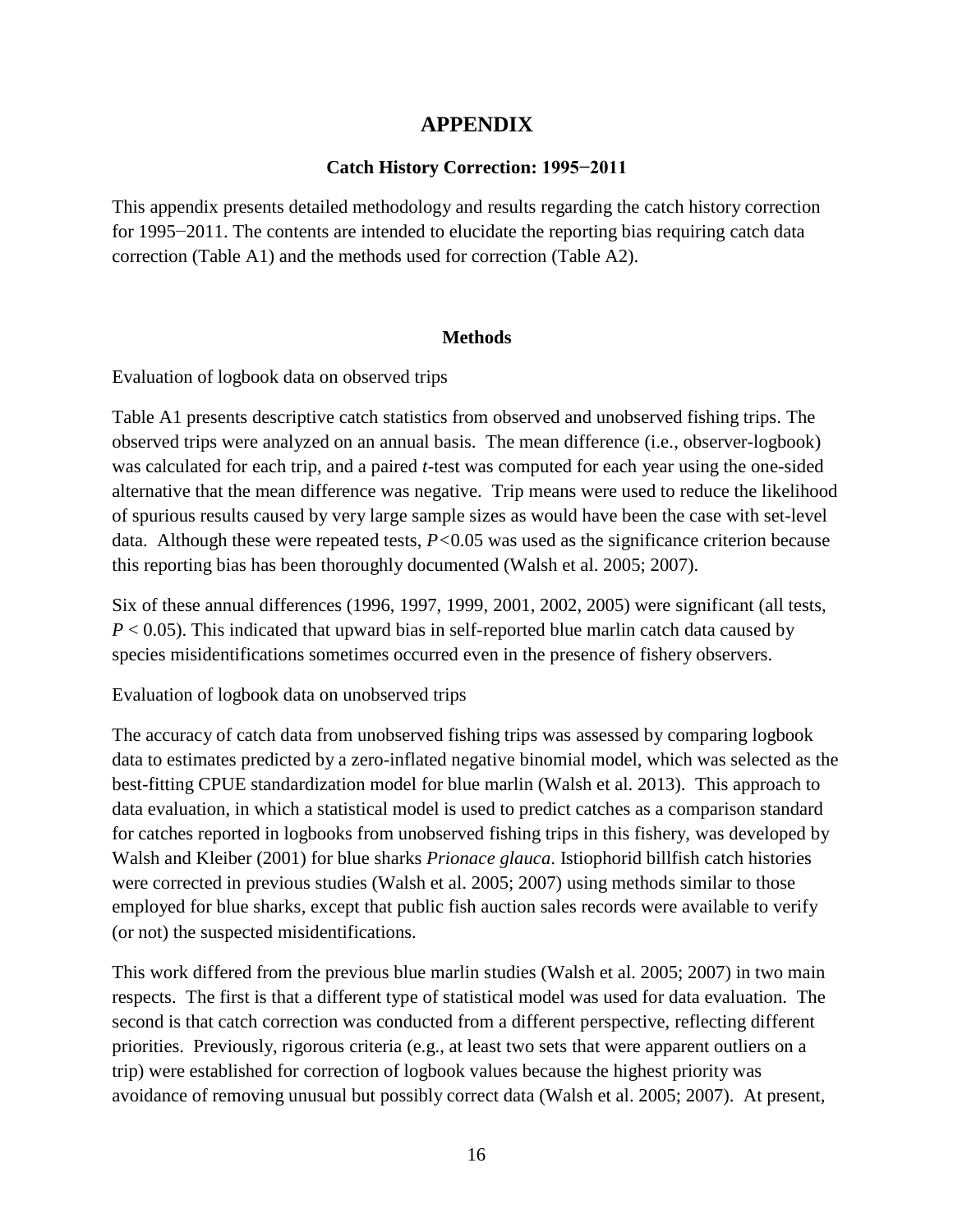# **APPENDIX**

## **Catch History Correction: 1995−2011**

This appendix presents detailed methodology and results regarding the catch history correction for 1995−2011. The contents are intended to elucidate the reporting bias requiring catch data correction (Table A1) and the methods used for correction (Table A2).

## **Methods**

Evaluation of logbook data on observed trips

Table A1 presents descriptive catch statistics from observed and unobserved fishing trips. The observed trips were analyzed on an annual basis. The mean difference (i.e., observer-logbook) was calculated for each trip, and a paired *t*-test was computed for each year using the one-sided alternative that the mean difference was negative. Trip means were used to reduce the likelihood of spurious results caused by very large sample sizes as would have been the case with set-level data. Although these were repeated tests, *P<*0.05 was used as the significance criterion because this reporting bias has been thoroughly documented (Walsh et al. 2005; 2007).

Six of these annual differences (1996, 1997, 1999, 2001, 2002, 2005) were significant (all tests,  $P < 0.05$ ). This indicated that upward bias in self-reported blue marlin catch data caused by species misidentifications sometimes occurred even in the presence of fishery observers.

Evaluation of logbook data on unobserved trips

The accuracy of catch data from unobserved fishing trips was assessed by comparing logbook data to estimates predicted by a zero-inflated negative binomial model, which was selected as the best-fitting CPUE standardization model for blue marlin (Walsh et al. 2013). This approach to data evaluation, in which a statistical model is used to predict catches as a comparison standard for catches reported in logbooks from unobserved fishing trips in this fishery, was developed by Walsh and Kleiber (2001) for blue sharks *Prionace glauca*. Istiophorid billfish catch histories were corrected in previous studies (Walsh et al. 2005; 2007) using methods similar to those employed for blue sharks, except that public fish auction sales records were available to verify (or not) the suspected misidentifications.

This work differed from the previous blue marlin studies (Walsh et al. 2005; 2007) in two main respects. The first is that a different type of statistical model was used for data evaluation. The second is that catch correction was conducted from a different perspective, reflecting different priorities. Previously, rigorous criteria (e.g., at least two sets that were apparent outliers on a trip) were established for correction of logbook values because the highest priority was avoidance of removing unusual but possibly correct data (Walsh et al. 2005; 2007). At present,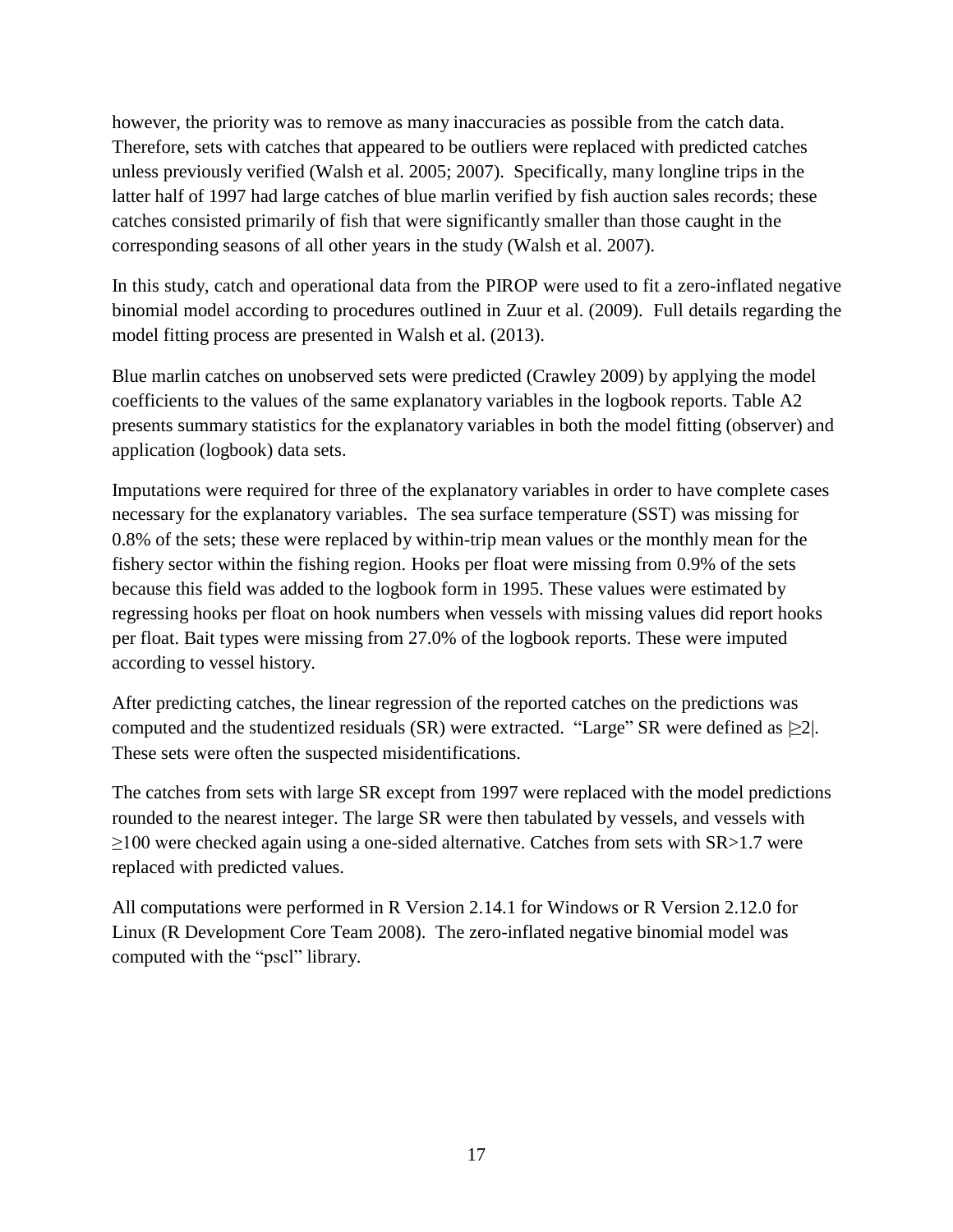however, the priority was to remove as many inaccuracies as possible from the catch data. Therefore, sets with catches that appeared to be outliers were replaced with predicted catches unless previously verified (Walsh et al. 2005; 2007). Specifically, many longline trips in the latter half of 1997 had large catches of blue marlin verified by fish auction sales records; these catches consisted primarily of fish that were significantly smaller than those caught in the corresponding seasons of all other years in the study (Walsh et al. 2007).

In this study, catch and operational data from the PIROP were used to fit a zero-inflated negative binomial model according to procedures outlined in Zuur et al. (2009). Full details regarding the model fitting process are presented in Walsh et al. (2013).

Blue marlin catches on unobserved sets were predicted (Crawley 2009) by applying the model coefficients to the values of the same explanatory variables in the logbook reports. Table A2 presents summary statistics for the explanatory variables in both the model fitting (observer) and application (logbook) data sets.

Imputations were required for three of the explanatory variables in order to have complete cases necessary for the explanatory variables. The sea surface temperature (SST) was missing for 0.8% of the sets; these were replaced by within-trip mean values or the monthly mean for the fishery sector within the fishing region. Hooks per float were missing from 0.9% of the sets because this field was added to the logbook form in 1995. These values were estimated by regressing hooks per float on hook numbers when vessels with missing values did report hooks per float. Bait types were missing from 27.0% of the logbook reports. These were imputed according to vessel history.

After predicting catches, the linear regression of the reported catches on the predictions was computed and the studentized residuals (SR) were extracted. "Large" SR were defined as  $\geq 2$ . These sets were often the suspected misidentifications.

The catches from sets with large SR except from 1997 were replaced with the model predictions rounded to the nearest integer. The large SR were then tabulated by vessels, and vessels with  $\geq$ 100 were checked again using a one-sided alternative. Catches from sets with SR $>$ 1.7 were replaced with predicted values.

All computations were performed in R Version 2.14.1 for Windows or R Version 2.12.0 for Linux (R Development Core Team 2008). The zero-inflated negative binomial model was computed with the "pscl" library.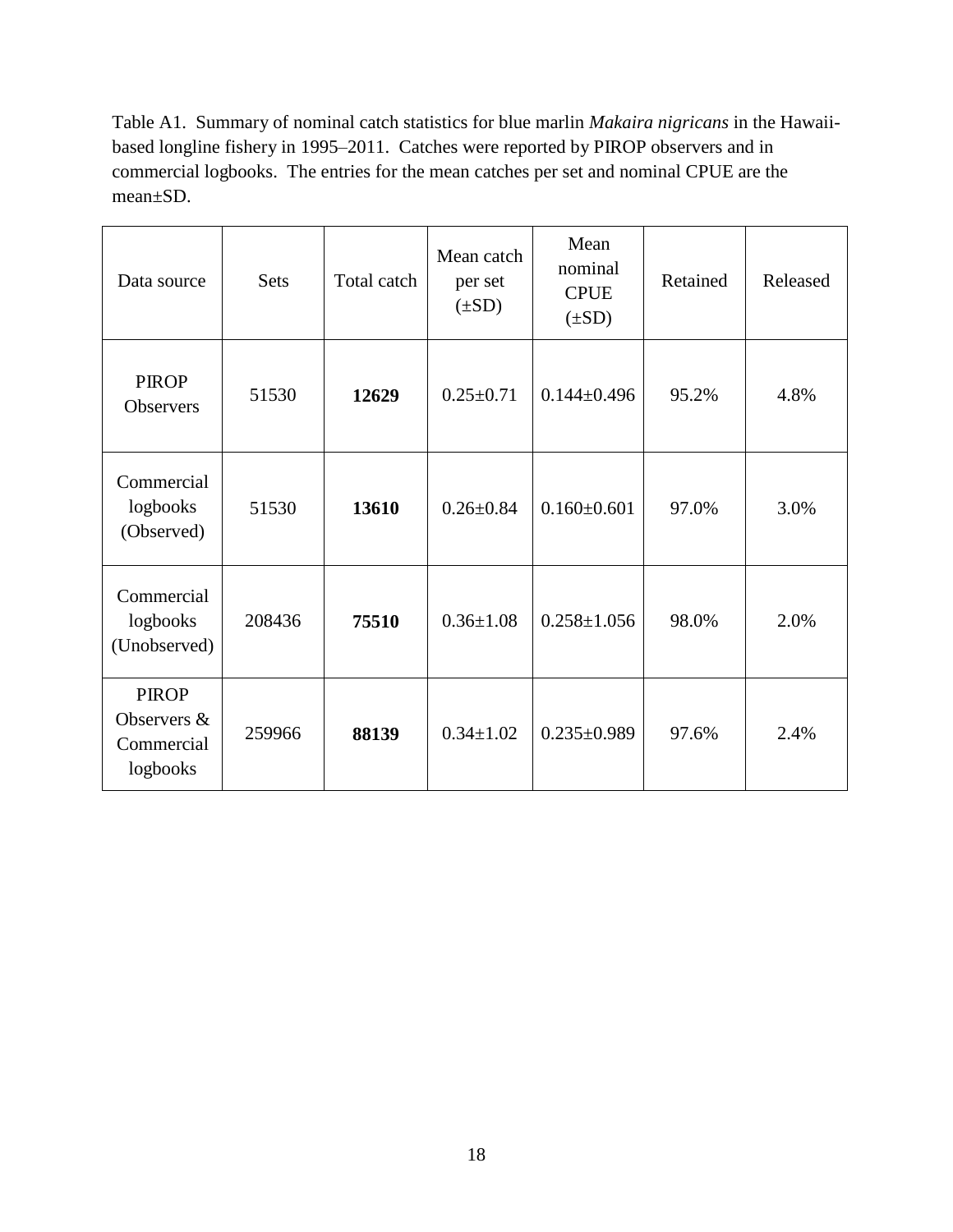Table A1. Summary of nominal catch statistics for blue marlin *Makaira nigricans* in the Hawaiibased longline fishery in 1995–2011. Catches were reported by PIROP observers and in commercial logbooks. The entries for the mean catches per set and nominal CPUE are the mean±SD.

| Data source                                           | <b>Sets</b> | Total catch | Mean catch<br>per set<br>$(\pm SD)$ | Mean<br>nominal<br><b>CPUE</b><br>$(\pm SD)$ | Retained | Released |
|-------------------------------------------------------|-------------|-------------|-------------------------------------|----------------------------------------------|----------|----------|
| <b>PIROP</b><br><b>Observers</b>                      | 51530       | 12629       | $0.25 \pm 0.71$                     | $0.144 \pm 0.496$                            | 95.2%    | 4.8%     |
| Commercial<br>logbooks<br>(Observed)                  | 51530       | 13610       | $0.26 \pm 0.84$                     | $0.160 \pm 0.601$                            | 97.0%    | 3.0%     |
| Commercial<br>logbooks<br>(Unobserved)                | 208436      | 75510       | $0.36 \pm 1.08$                     | $0.258 \pm 1.056$                            | 98.0%    | 2.0%     |
| <b>PIROP</b><br>Observers &<br>Commercial<br>logbooks | 259966      | 88139       | $0.34 \pm 1.02$                     | $0.235 \pm 0.989$                            | 97.6%    | 2.4%     |